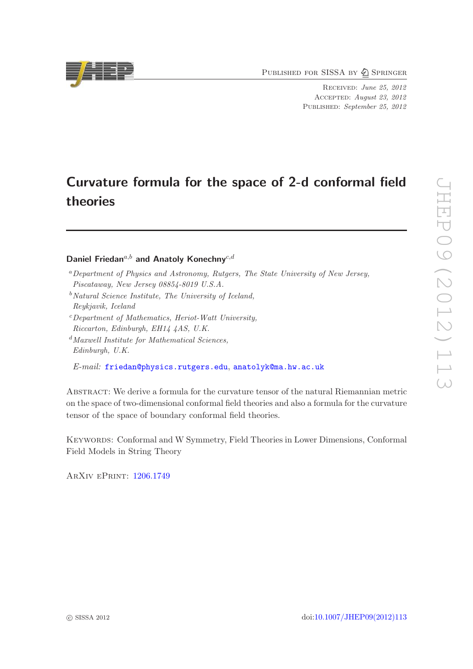PUBLISHED FOR SISSA BY 2 SPRINGER

RECEIVED: June 25, 2012 ACCEPTED: August 23, 2012 PUBLISHED: September 25, 2012

# Curvature formula for the space of 2-d conformal field theories

Daniel Friedan<sup>a,b</sup> and Anatoly Konechny<sup>c,d</sup>

- <sup>a</sup>Department of Physics and Astronomy, Rutgers, The State University of New Jersey, Piscataway, New Jersey 08854-8019 U.S.A.
- $b$ Natural Science Institute, The University of Iceland, Reykjavik, Iceland
- $c$ Department of Mathematics, Heriot-Watt University, Riccarton, Edinburgh, EH14 4AS, U.K.
- $d$ Maxwell Institute for Mathematical Sciences, Edinburgh, U.K.

 $\emph{E-mail:}$  [friedan@physics.rutgers.edu](mailto:friedan@physics.rutgers.edu), [anatolyk@ma.hw.ac.uk](mailto:anatolyk@ma.hw.ac.uk)

Abstract: We derive a formula for the curvature tensor of the natural Riemannian metric on the space of two-dimensional conformal field theories and also a formula for the curvature tensor of the space of boundary conformal field theories.

Keywords: Conformal and W Symmetry, Field Theories in Lower Dimensions, Conformal Field Models in String Theory

ArXiv ePrint: [1206.1749](http://arxiv.org/abs/1206.1749)

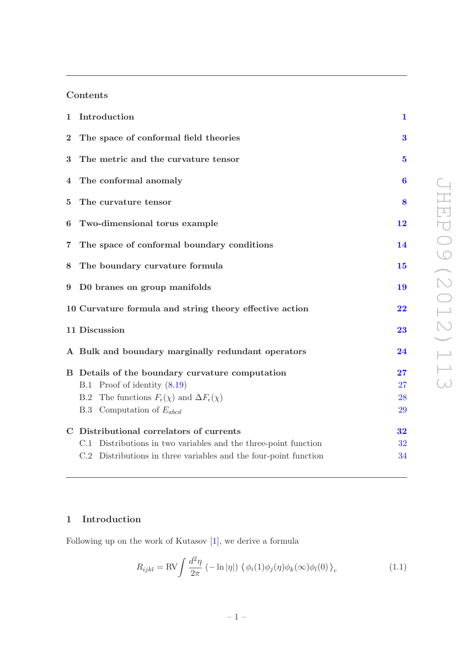# Contents

| $\mathbf{1}$   | Introduction                                                              | $\mathbf{1}$            |  |
|----------------|---------------------------------------------------------------------------|-------------------------|--|
| $\overline{2}$ | The space of conformal field theories                                     | 3                       |  |
| 3              | The metric and the curvature tensor                                       | $\overline{\mathbf{5}}$ |  |
| 4              | The conformal anomaly                                                     | $\bf{6}$                |  |
| $\bf{5}$       | The curvature tensor                                                      |                         |  |
| 6              | Two-dimensional torus example                                             |                         |  |
| $\overline{7}$ | The space of conformal boundary conditions                                |                         |  |
| 8              | The boundary curvature formula                                            |                         |  |
| 9              | D0 branes on group manifolds                                              |                         |  |
|                | 10 Curvature formula and string theory effective action                   |                         |  |
|                | 11 Discussion                                                             |                         |  |
|                | A Bulk and boundary marginally redundant operators                        | 24                      |  |
|                | B Details of the boundary curvature computation                           | 27                      |  |
|                | Proof of identity (8.19)<br>B.1                                           | 27                      |  |
|                | The functions $F_{\epsilon}(\chi)$ and $\Delta F_{\epsilon}(\chi)$<br>B.2 | 28                      |  |
|                | B.3 Computation of $E_{abcd}$                                             | 29                      |  |
|                | C Distributional correlators of currents                                  | 32                      |  |
|                | C.1 Distributions in two variables and the three-point function           | 32                      |  |
|                | C.2 Distributions in three variables and the four-point function          | 34                      |  |
|                |                                                                           |                         |  |

# JHEP09(2012)113 JHEP09(2012)113

## <span id="page-1-0"></span>1 Introduction

Following up on the work of Kutasov [[1\]](#page-36-0), we derive a formula

<span id="page-1-1"></span>
$$
R_{ijkl} = \text{RV} \int \frac{d^2 \eta}{2\pi} \left( -\ln|\eta| \right) \left\langle \phi_i(1)\phi_j(\eta)\phi_k(\infty)\phi_l(0) \right\rangle_c \tag{1.1}
$$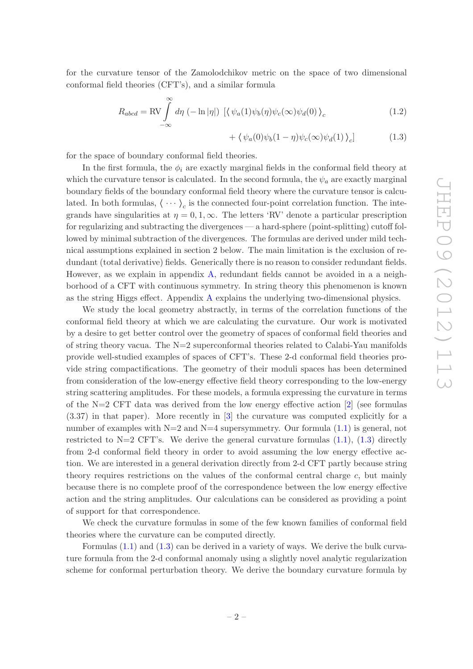for the curvature tensor of the Zamolodchikov metric on the space of two dimensional conformal field theories (CFT's), and a similar formula

$$
R_{abcd} = \text{RV} \int_{-\infty}^{\infty} d\eta \, (-\ln|\eta|) \, \left[ \langle \psi_a(1)\psi_b(\eta)\psi_c(\infty)\psi_d(0) \rangle_c \right] \tag{1.2}
$$

<span id="page-2-0"></span>
$$
+\langle \psi_a(0)\psi_b(1-\eta)\psi_c(\infty)\psi_d(1) \rangle_c \qquad (1.3)
$$

for the space of boundary conformal field theories.

In the first formula, the  $\phi_i$  are exactly marginal fields in the conformal field theory at which the curvature tensor is calculated. In the second formula, the  $\psi_a$  are exactly marginal boundary fields of the boundary conformal field theory where the curvature tensor is calculated. In both formulas,  $\langle \cdots \rangle_c$  is the connected four-point correlation function. The integrands have singularities at  $\eta = 0, 1, \infty$ . The letters 'RV' denote a particular prescription for regularizing and subtracting the divergences — a hard-sphere (point-splitting) cutoff followed by minimal subtraction of the divergences. The formulas are derived under mild technical assumptions explained in section 2 below. The main limitation is the exclusion of redundant (total derivative) fields. Generically there is no reason to consider redundant fields. However, as we explain in appendix [A,](#page-24-0) redundant fields cannot be avoided in a a neighborhood of a CFT with continuous symmetry. In string theory this phenomenon is known as the string Higgs e ffect. Appendix [A](#page-24-0) explains the underlying two-dimensional physics.

We study the local geometry abstractly, in terms of the correlation functions of the conformal field theory at which we are calculating the curvature. Our work is motivated by a desire to get better control over the geometry of spaces of conformal field theories and of string theory vacua. The  $N=2$  superconformal theories related to Calabi-Yau manifolds provide well-studied examples of spaces of CFT's. These 2-d conformal field theories provide string compactifications. The geometry of their moduli spaces has been determined from consideration of the low-energy e ffective field theory corresponding to the low-energy string scattering amplitudes. For these models, a formula expressing the curvature in terms of the N=2 CFT data was derived from the low energy e ffective action [ [2](#page-36-1)] (see formulas (3.37) in that paper). More recently in [ [3\]](#page-36-2) the curvature was computed explicitly for a number of examples with  $N=2$  and  $N=4$  supersymmetry. Our formula  $(1.1)$  is general, not restricted to  $N=2$  CFT's. We derive the general curvature formulas  $(1.1)$ ,  $(1.3)$  directly from 2-d conformal field theory in order to avoid assuming the low energy e ffective action. We are interested in a general derivation directly from 2-d CFT partly because string theory requires restrictions on the values of the conformal central charge c, but mainly because there is no complete proof of the correspondence between the low energy e ffective action and the string amplitudes. Our calculations can be considered as providing a point of support for that correspondence.

We check the curvature formulas in some of the few known families of conformal field theories where the curvature can be computed directly.

Formulas [\(1.1\)](#page-1-1) and [\(1.3\)](#page-2-0) can be derived in a variety of ways. We derive the bulk curvature formula from the 2-d conformal anomaly using a slightly novel analytic regularization scheme for conformal perturbation theory. We derive the boundary curvature formula by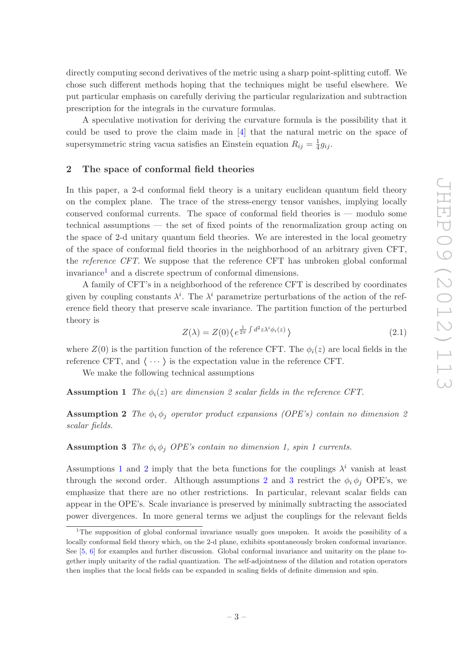directly computing second derivatives of the metric using a sharp point-splitting cuto ff. We chose such di fferent methods hoping that the techniques might be useful elsewhere. We put particular emphasis on carefully deriving the particular regularization and subtraction prescription for the integrals in the curvature formulas.

A speculative motivation for deriving the curvature formula is the possibility that it could be used to prove the claim made in [ [4\]](#page-36-3) that the natural metric on the space of supersymmetric string vacua satisfies an Einstein equation  $R_{ij} = \frac{1}{4}g_{ij}$ .

### <span id="page-3-0"></span>2 The space of conformal field theories

In this paper, a 2-d conformal field theory is a unitary euclidean quantum field theory on the complex plane. The trace of the stress-energy tensor vanishes, implying locally conserved conformal currents. The space of conformal field theories is — modulo some technical assumptions — the set of fixed points of the renormalization group acting on the space of 2-d unitary quantum field theories. We are interested in the local geometry of the space of conformal field theories in the neighborhood of an arbitrary given CFT, the reference CFT. We suppose that the reference CFT has unbroken global conformal invariance [1](#page-3-1) and a discrete spectrum of conformal dimensions.

A family of CFT's in a neighborhood of the reference CFT is described by coordinates given by coupling constants  $\lambda^i$ . The  $\lambda^i$  parametrize perturbations of the action of the reference field theory that preserve scale invariance. The partition function of the perturbed theory is

<span id="page-3-5"></span><span id="page-3-2"></span>
$$
Z(\lambda) = Z(0) \langle e^{\frac{1}{2\pi} \int d^2 z \lambda^i \phi_i(z)} \rangle \tag{2.1}
$$

where  $Z(0)$  is the partition function of the reference CFT. The  $\phi_i(z)$  are local fields in the reference CFT, and  $\langle \cdots \rangle$  is the expectation value in the reference CFT.

We make the following technical assumptions

<span id="page-3-3"></span>**Assumption 1** The  $\phi_i(z)$  are dimension 2 scalar fields in the reference CFT.

**Assumption 2** The  $\phi_i \phi_j$  operator product expansions (OPE's) contain no dimension 2 scalar fields.

<span id="page-3-4"></span>**Assumption 3** The  $\phi_i \phi_j$  OPE's contain no dimension 1, spin 1 currents.

Assumptions [1](#page-3-2) and [2](#page-3-3) imply that the beta functions for the couplings  $\lambda^i$  vanish at least through the second order. Although assumptions [2](#page-3-3) and [3](#page-3-4) restrict the  $\phi_i \phi_j$  OPE's, we emphasize that there are no other restrictions. In particular, relevant scalar fields can appear in the OPE's. Scale invariance is preserved by minimally subtracting the associated power divergences. In more general terms we adjust the couplings for the relevant fields

<span id="page-3-1"></span><sup>&</sup>lt;sup>1</sup>The supposition of global conformal invariance usually goes unspoken. It avoids the possibility of a locally conformal field theory which, on the 2-d plane, exhibits spontaneously broken conformal invariance. See [[5](#page-36-4), [6](#page-36-5)] for examples and further discussion. Global conformal invariance and unitarity on the plane together imply unitarity of the radial quantization. The self-adjointness of the dilation and rotation operators then implies that the local fields can be expanded in scaling fields of definite dimension and spin.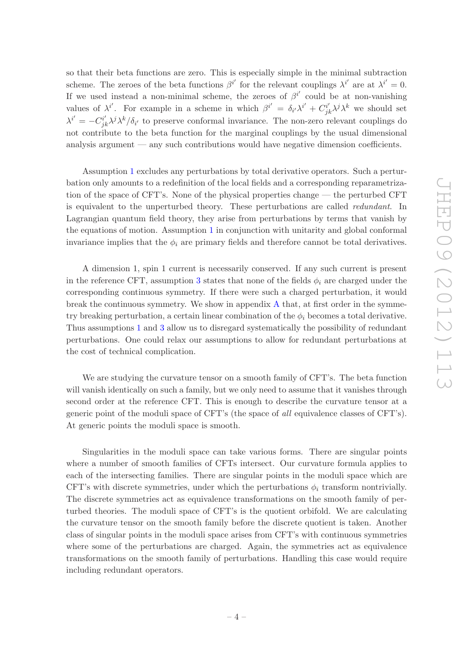so that their beta functions are zero. This is especially simple in the minimal subtraction scheme. The zeroes of the beta functions  $\beta^{i'}$  for the relevant couplings  $\lambda^{i'}$  are at  $\lambda^{i'} = 0$ . If we used instead a non-minimal scheme, the zeroes of  $\beta^{i'}$  could be at non-vanishing values of  $\lambda^{i'}$ . For example in a scheme in which  $\beta^{i'} = \delta_{i'}\lambda^{i'} + C_{jl}^{i'}$  $j_k^i \lambda^j \lambda^k$  we should set  $\lambda^{i'} = -C_{j}^{i'}$  $j_k^{i'} \lambda^j \lambda^k / \delta_{i'}$  to preserve conformal invariance. The non-zero relevant couplings do not contribute to the beta function for the marginal couplings by the usual dimensional analysis argument — any such contributions would have negative dimension coe fficients.

Assumption [1](#page-3-2) excludes any perturbations by total derivative operators. Such a perturbation only amounts to a redefinition of the local fields and a corresponding reparametrization of the space of CFT's. None of the physical properties change — the perturbed CFT is equivalent to the unperturbed theory. These perturbations are called redundant. In Lagrangian quantum field theory, they arise from perturbations by terms that vanish by the equations of motion. Assumption [1](#page-3-2) in conjunction with unitarity and global conformal invariance implies that the  $\phi_i$  are primary fields and therefore cannot be total derivatives.

A dimension 1, spin 1 current is necessarily conserved. If any such current is present in the reference CFT, assumption [3](#page-3-4) states that none of the fields  $\phi_i$  are charged under the corresponding continuous symmetry. If there were such a charged perturbation, it would break the continuous symmetry. We show in appendix [A](#page-24-0) that, at first order in the symmetry breaking perturbation, a certain linear combination of the  $\phi_i$  becomes a total derivative. Thus assumptions [1](#page-3-2) and [3](#page-3-4) allow us to disregard systematically the possibility of redundant perturbations. One could relax our assumptions to allow for redundant perturbations at the cost of technical complication.

We are studying the curvature tensor on a smooth family of CFT's. The beta function will vanish identically on such a family, but we only need to assume that it vanishes through second order at the reference CFT. This is enough to describe the curvature tensor at a generic point of the moduli space of CFT's (the space of all equivalence classes of CFT's). At generic points the moduli space is smooth.

Singularities in the moduli space can take various forms. There are singular points where a number of smooth families of CFTs intersect. Our curvature formula applies to each of the intersecting families. There are singular points in the moduli space which are CFT's with discrete symmetries, under which the perturbations  $\phi_i$  transform nontrivially. The discrete symmetries act as equivalence transformations on the smooth family of perturbed theories. The moduli space of CFT's is the quotient orbifold. We are calculating the curvature tensor on the smooth family before the discrete quotient is taken. Another class of singular points in the moduli space arises from CFT's with continuous symmetries where some of the perturbations are charged. Again, the symmetries act as equivalence transformations on the smooth family of perturbations. Handling this case would require including redundant operators.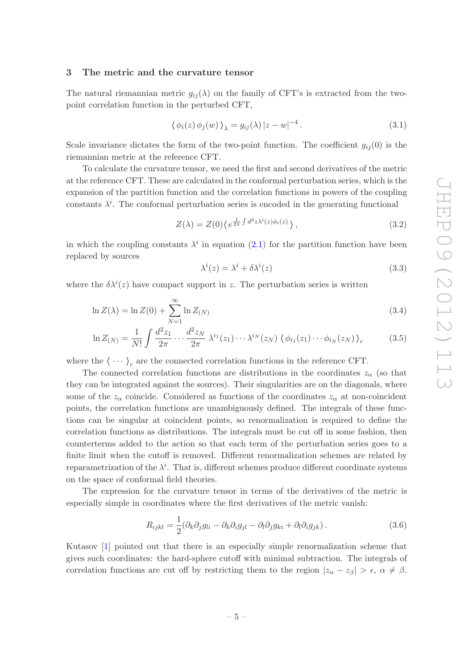### <span id="page-5-0"></span>3 The metric and the curvature tensor

The natural riemannian metric  $g_{ij}(\lambda)$  on the family of CFT's is extracted from the twopoint correlation function in the perturbed CFT,

<span id="page-5-1"></span>
$$
\langle \phi_i(z) \phi_j(w) \rangle_{\lambda} = g_{ij}(\lambda) |z - w|^{-4}.
$$
\n(3.1)

Scale invariance dictates the form of the two-point function. The coefficient  $g_{ij}(0)$  is the riemannian metric at the reference CFT.

To calculate the curvature tensor, we need the first and second derivatives of the metric at the reference CFT. These are calculated in the conformal perturbation series, which is the expansion of the partition function and the correlation functions in powers of the coupling constants  $\lambda^{i}$ . The conformal perturbation series is encoded in the generating functional

$$
Z(\lambda) = Z(0) \langle e^{\frac{1}{2\pi} \int d^2 z \lambda^i(z) \phi_i(z)} \rangle, \qquad (3.2)
$$

in which the coupling constants  $\lambda^i$  in equation [\(2.1\)](#page-3-5) for the partition function have been replaced by sources

$$
\lambda^{i}(z) = \lambda^{i} + \delta\lambda^{i}(z)
$$
\n(3.3)

where the  $\delta \lambda^{i}(z)$  have compact support in z. The perturbation series is written

$$
\ln Z(\lambda) = \ln Z(0) + \sum_{N=1}^{\infty} \ln Z_{(N)} \tag{3.4}
$$

$$
\ln Z(N) = \frac{1}{N!} \int \frac{d^2 z_1}{2\pi} \cdots \frac{d^2 z_N}{2\pi} \lambda^{i_1}(z_1) \cdots \lambda^{i_N}(z_N) \left\langle \phi_{i_1}(z_1) \cdots \phi_{i_N}(z_N) \right\rangle_c \tag{3.5}
$$

where the  $\langle \cdots \rangle_c$  are the connected correlation functions in the reference CFT.

The connected correlation functions are distributions in the coordinates  $z_{\alpha}$  (so that they can be integrated against the sources). Their singularities are on the diagonals, where some of the  $z_{\alpha}$  coincide. Considered as functions of the coordinates  $z_{\alpha}$  at non-coincident points, the correlation functions are unambiguously defined. The integrals of these functions can be singular at coincident points, so renormalization is required to define the correlation functions as distributions. The integrals must be cut o ff in some fashion, then counterterms added to the action so that each term of the perturbation series goes to a finite limit when the cutoff is removed. Different renormalization schemes are related by reparametrization of the  $\lambda^i$ . That is, different schemes produce different coordinate systems on the space of conformal field theories.

The expression for the curvature tensor in terms of the derivatives of the metric is especially simple in coordinates where the first derivatives of the metric vanish:

<span id="page-5-2"></span>
$$
R_{ijkl} = \frac{1}{2} (\partial_k \partial_j g_{li} - \partial_k \partial_i g_{jl} - \partial_l \partial_j g_{ki} + \partial_l \partial_i g_{jk}).
$$
\n(3.6)

Kutasov [ [1](#page-36-0)] pointed out that there is an especially simple renormalization scheme that gives such coordinates: the hard-sphere cuto ff with minimal subtraction. The integrals of correlation functions are cut off by restricting them to the region  $|z_{\alpha} - z_{\beta}| > \epsilon$ ,  $\alpha \neq \beta$ .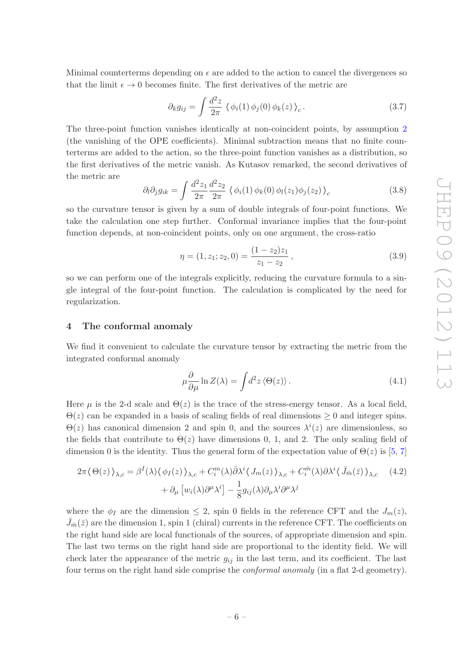Minimal counterterms depending on  $\epsilon$  are added to the action to cancel the divergences so that the limit  $\epsilon \to 0$  becomes finite. The first derivatives of the metric are

$$
\partial_k g_{ij} = \int \frac{d^2 z}{2\pi} \left\langle \phi_i(1) \phi_j(0) \phi_k(z) \right\rangle_c.
$$
 (3.7)

The three-point function vanishes identically at non-coincident points, by assumption [2](#page-3-3) (the vanishing of the OPE coe fficients). Minimal subtraction means that no finite counterterms are added to the action, so the three-point function vanishes as a distribution, so the first derivatives of the metric vanish. As Kutasov remarked, the second derivatives of the metric are

$$
\partial_l \partial_j g_{ik} = \int \frac{d^2 z_1}{2\pi} \frac{d^2 z_2}{2\pi} \left\langle \phi_i(1) \phi_k(0) \phi_l(z_1) \phi_j(z_2) \right\rangle_c \tag{3.8}
$$

so the curvature tensor is given by a sum of double integrals of four-point functions. We take the calculation one step further. Conformal invariance implies that the four-point function depends, at non-coincident points, only on one argument, the cross-ratio

$$
\eta = (1, z_1; z_2, 0) = \frac{(1 - z_2)z_1}{z_1 - z_2}, \qquad (3.9)
$$

so we can perform one of the integrals explicitly, reducing the curvature formula to a single integral of the four-point function. The calculation is complicated by the need for regularization.

### <span id="page-6-0"></span>4 The conformal anomaly

We find it convenient to calculate the curvature tensor by extracting the metric from the integrated conformal anomaly

<span id="page-6-1"></span>
$$
\mu \frac{\partial}{\partial \mu} \ln Z(\lambda) = \int d^2 z \langle \Theta(z) \rangle.
$$
 (4.1)

Here  $\mu$  is the 2-d scale and  $\Theta(z)$  is the trace of the stress-energy tensor. As a local field,  $\Theta(z)$  can be expanded in a basis of scaling fields of real dimensions  $\geq 0$  and integer spins.  $\Theta(z)$  has canonical dimension 2 and spin 0, and the sources  $\lambda^{i}(z)$  are dimensionless, so the fields that contribute to  $\Theta(z)$  have dimensions 0, 1, and 2. The only scaling field of dimension 0 is the identity. Thus the general form of the expectation value of  $\Theta(z)$  is [[5](#page-36-4), [7](#page-36-6)]

$$
2\pi \langle \Theta(z) \rangle_{\lambda,c} = \beta^I(\lambda) \langle \phi_I(z) \rangle_{\lambda,c} + C_i^m(\lambda) \bar{\partial} \lambda^i \langle J_m(z) \rangle_{\lambda,c} + C_i^{\bar{m}}(\lambda) \partial \lambda^i \langle \bar{J}_{\bar{m}}(\bar{z}) \rangle_{\lambda,c} \qquad (4.2)
$$

$$
+ \partial_\mu \left[ w_i(\lambda) \partial^\mu \lambda^i \right] - \frac{1}{8} g_{ij}(\lambda) \partial_\mu \lambda^i \partial^\mu \lambda^j
$$

where the  $\phi_I$  are the dimension  $\leq 2$ , spin 0 fields in the reference CFT and the  $J_m(z)$ ,  $\bar{J}_{\bar{m}}(\bar{z})$  are the dimension 1, spin 1 (chiral) currents in the reference CFT. The coefficients on the right hand side are local functionals of the sources, of appropriate dimension and spin. The last two terms on the right hand side are proportional to the identity field. We will check later the appearance of the metric  $g_{ij}$  in the last term, and its coefficient. The last four terms on the right hand side comprise the conformal anomaly (in a flat 2-d geometry).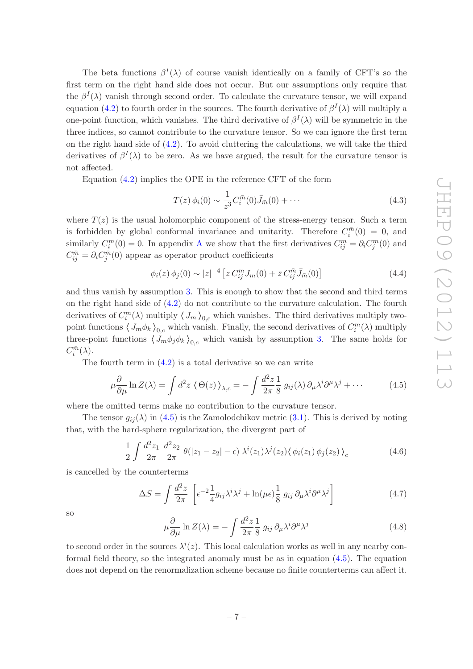The beta functions  $\beta^I(\lambda)$  of course vanish identically on a family of CFT's so the first term on the right hand side does not occur. But our assumptions only require that the  $\beta^I(\lambda)$  vanish through second order. To calculate the curvature tensor, we will expand equation [\(4.2\)](#page-6-1) to fourth order in the sources. The fourth derivative of  $\beta^I(\lambda)$  will multiply a one-point function, which vanishes. The third derivative of  $\beta^I(\lambda)$  will be symmetric in the three indices, so cannot contribute to the curvature tensor. So we can ignore the first term on the right hand side of  $(4.2)$ . To avoid cluttering the calculations, we will take the third derivatives of  $\beta^I(\lambda)$  to be zero. As we have argued, the result for the curvature tensor is not a ffected.

Equation [\(4.2\)](#page-6-1) implies the OPE in the reference CFT of the form

$$
T(z)\,\phi_i(0) \sim \frac{1}{z^3} C_i^{\bar{m}}(0)\bar{J}_{\bar{m}}(0) + \cdots \tag{4.3}
$$

where  $T(z)$  is the usual holomorphic component of the stress-energy tensor. Such a term is forbidden by global conformal invariance and unitarity. Therefore  $C_i^{\bar{m}}(0) = 0$ , and similarly  $C_i^m(0) = 0$ . In appendix [A](#page-24-0) we show that the first derivatives  $C_{ij}^m = \partial_i C_j^m(0)$  and  $C_{ij}^{\bar{m}} = \partial_i C_j^{\bar{m}}(0)$  appear as operator product coefficients

$$
\phi_i(z)\,\phi_j(0) \sim |z|^{-4} \left[ z \, C_{ij}^m J_m(0) + \bar{z} \, C_{ij}^{\bar{m}} \bar{J}_{\bar{m}}(0) \right] \tag{4.4}
$$

and thus vanish by assumption [3.](#page-3-4) This is enough to show that the second and third terms on the right hand side of [\(4.2\)](#page-6-1) do not contribute to the curvature calculation. The fourth derivatives of  $C_i^m(\lambda)$  multiply  $\langle J_m \rangle_{0,c}$  which vanishes. The third derivatives multiply twopoint functions  $\langle J_m \phi_k \rangle_{0,c}$  which vanish. Finally, the second derivatives of  $C_i^m(\lambda)$  multiply three-point functions  $\langle J_m \phi_j \phi_k \rangle_{0,c}$  which vanish by assumption [3.](#page-3-4) The same holds for  $C_i^{\bar{m}}(\lambda)$ .

The fourth term in  $(4.2)$  is a total derivative so we can write

<span id="page-7-0"></span>
$$
\mu \frac{\partial}{\partial \mu} \ln Z(\lambda) = \int d^2 z \, \langle \Theta(z) \rangle_{\lambda, c} = - \int \frac{d^2 z}{2\pi \, 8} \, g_{ij}(\lambda) \, \partial_\mu \lambda^i \partial^\mu \lambda^j + \cdots \tag{4.5}
$$

where the omitted terms make no contribution to the curvature tensor.

The tensor  $g_{ij}(\lambda)$  in [\(4.5\)](#page-7-0) is the Zamolodchikov metric [\(3.1\)](#page-5-1). This is derived by noting that, with the hard-sphere regularization, the divergent part of

$$
\frac{1}{2} \int \frac{d^2 z_1}{2\pi} \frac{d^2 z_2}{2\pi} \theta(|z_1 - z_2| - \epsilon) \lambda^i(z_1) \lambda^j(z_2) \langle \phi_i(z_1) \phi_j(z_2) \rangle_c \tag{4.6}
$$

is cancelled by the counterterms

$$
\Delta S = \int \frac{d^2 z}{2\pi} \left[ \epsilon^{-2} \frac{1}{4} g_{ij} \lambda^i \lambda^j + \ln(\mu \epsilon) \frac{1}{8} g_{ij} \partial_\mu \lambda^i \partial^\mu \lambda^j \right]
$$
(4.7)

so

$$
\mu \frac{\partial}{\partial \mu} \ln Z(\lambda) = -\int \frac{d^2 z}{2\pi} \frac{1}{8} g_{ij} \partial_\mu \lambda^i \partial^\mu \lambda^j \tag{4.8}
$$

to second order in the sources  $\lambda^{i}(z)$ . This local calculation works as well in any nearby conformal field theory, so the integrated anomaly must be as in equation [\(4.5\)](#page-7-0). The equation does not depend on the renormalization scheme because no finite counterterms can a ffect it.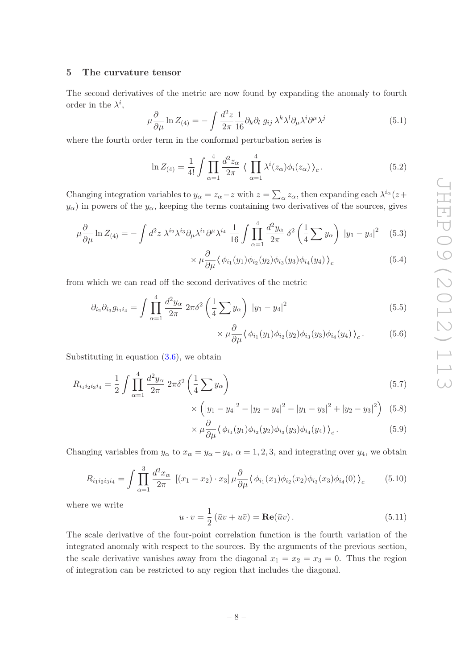### <span id="page-8-0"></span>5 The curvature tensor

The second derivatives of the metric are now found by expanding the anomaly to fourth order in the  $\lambda^i$ ,

$$
\mu \frac{\partial}{\partial \mu} \ln Z_{(4)} = -\int \frac{d^2 z}{2\pi} \frac{1}{16} \partial_k \partial_l g_{ij} \lambda^k \lambda^l \partial_\mu \lambda^i \partial^\mu \lambda^j \tag{5.1}
$$

where the fourth order term in the conformal perturbation series is

$$
\ln Z_{(4)} = \frac{1}{4!} \int \prod_{\alpha=1}^{4} \frac{d^2 z_{\alpha}}{2\pi} \langle \prod_{\alpha=1}^{4} \lambda^i(z_{\alpha}) \phi_i(z_{\alpha}) \rangle_c.
$$
 (5.2)

Changing integration variables to  $y_{\alpha} = z_{\alpha} - z$  with  $z = \sum_{\alpha} z_{\alpha}$ , then expanding each  $\lambda^{i_{\alpha}}(z + z_{\alpha})$  $y_{\alpha}$ ) in powers of the  $y_{\alpha}$ , keeping the terms containing two derivatives of the sources, gives

$$
\mu \frac{\partial}{\partial \mu} \ln Z_{(4)} = -\int d^2 z \,\lambda^{i_2} \lambda^{i_3} \partial_\mu \lambda^{i_1} \partial^\mu \lambda^{i_4} \frac{1}{16} \int \prod_{\alpha=1}^4 \frac{d^2 y_\alpha}{2\pi} \,\delta^2 \left(\frac{1}{4} \sum y_\alpha\right) \, |y_1 - y_4|^2 \quad (5.3)
$$

$$
\times \mu \frac{\partial}{\partial \mu} \langle \phi_{i_1}(y_1) \phi_{i_2}(y_2) \phi_{i_3}(y_3) \phi_{i_4}(y_4) \rangle_c \tag{5.4}
$$

from which we can read o ff the second derivatives of the metric

×

$$
\partial_{i_2}\partial_{i_3}g_{i_1i_4} = \int \prod_{\alpha=1}^4 \frac{d^2y_\alpha}{2\pi} \, 2\pi\delta^2 \left(\frac{1}{4}\sum y_\alpha\right) \, |y_1 - y_4|^2 \tag{5.5}
$$

$$
\times \mu \frac{\partial}{\partial \mu} \langle \phi_{i_1}(y_1) \phi_{i_2}(y_2) \phi_{i_3}(y_3) \phi_{i_4}(y_4) \rangle_c. \tag{5.6}
$$

Substituting in equation  $(3.6)$ , we obtain

$$
R_{i_1 i_2 i_3 i_4} = \frac{1}{2} \int \prod_{\alpha=1}^4 \frac{d^2 y_\alpha}{2\pi} \, 2\pi \delta^2 \left(\frac{1}{4} \sum y_\alpha\right) \tag{5.7}
$$

$$
\left(|y_1 - y_4|^2 - |y_2 - y_4|^2 - |y_1 - y_3|^2 + |y_2 - y_3|^2\right) (5.8)
$$

$$
\times \mu \frac{\partial}{\partial \mu} \langle \phi_{i_1}(y_1) \phi_{i_2}(y_2) \phi_{i_3}(y_3) \phi_{i_4}(y_4) \rangle_c.
$$
 (5.9)

Changing variables from  $y_{\alpha}$  to  $x_{\alpha} = y_{\alpha} - y_4$ ,  $\alpha = 1, 2, 3$ , and integrating over  $y_4$ , we obtain

<span id="page-8-1"></span>
$$
R_{i_1 i_2 i_3 i_4} = \int \prod_{\alpha=1}^3 \frac{d^2 x_\alpha}{2\pi} \left[ (x_1 - x_2) \cdot x_3 \right] \mu \frac{\partial}{\partial \mu} \langle \phi_{i_1}(x_1) \phi_{i_2}(x_2) \phi_{i_3}(x_3) \phi_{i_4}(0) \rangle_c \tag{5.10}
$$

where we write

$$
u \cdot v = \frac{1}{2} (\bar{u}v + u\bar{v}) = \mathbf{Re}(\bar{u}v).
$$
 (5.11)

The scale derivative of the four-point correlation function is the fourth variation of the integrated anomaly with respect to the sources. By the arguments of the previous section, the scale derivative vanishes away from the diagonal  $x_1 = x_2 = x_3 = 0$ . Thus the region of integration can be restricted to any region that includes the diagonal.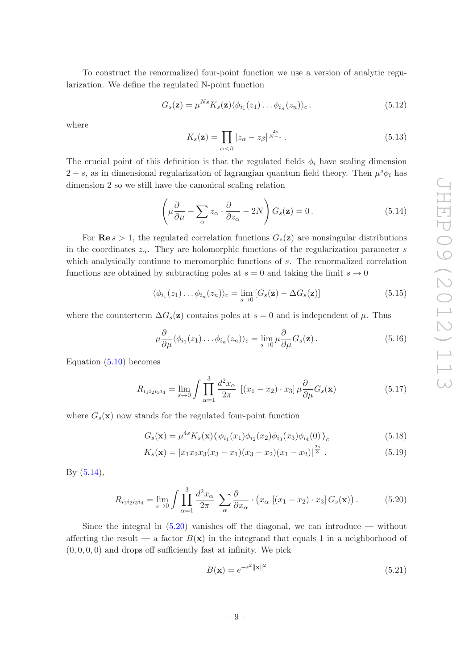To construct the renormalized four-point function we use a version of analytic regularization. We define the regulated N-point function

$$
G_s(\mathbf{z}) = \mu^{Ns} K_s(\mathbf{z}) \langle \phi_{i_1}(z_1) \dots \phi_{i_n}(z_n) \rangle_c.
$$
 (5.12)

where

$$
K_s(\mathbf{z}) = \prod_{\alpha < \beta} |z_{\alpha} - z_{\beta}|^{\frac{2s}{N-1}}. \tag{5.13}
$$

The crucial point of this definition is that the regulated fields  $\phi_i$  have scaling dimension  $2 - s$ , as in dimensional regularization of lagrangian quantum field theory. Then  $\mu^s \phi_i$  has dimension 2 so we still have the canonical scaling relation

<span id="page-9-0"></span>
$$
\left(\mu \frac{\partial}{\partial \mu} - \sum_{\alpha} z_{\alpha} \cdot \frac{\partial}{\partial z_{\alpha}} - 2N\right) G_s(\mathbf{z}) = 0.
$$
\n(5.14)

For  $\text{Re } s > 1$ , the regulated correlation functions  $G_s(z)$  are nonsingular distributions in the coordinates  $z_{\alpha}$ . They are holomorphic functions of the regularization parameter s which analytically continue to meromorphic functions of  $s$ . The renormalized correlation functions are obtained by subtracting poles at  $s = 0$  and taking the limit  $s \to 0$ 

$$
\langle \phi_{i_1}(z_1) \dots \phi_{i_n}(z_n) \rangle_c = \lim_{s \to 0} \left[ G_s(\mathbf{z}) - \Delta G_s(\mathbf{z}) \right] \tag{5.15}
$$

where the counterterm  $\Delta G_s(z)$  contains poles at  $s=0$  and is independent of  $\mu$ . Thus

$$
\mu \frac{\partial}{\partial \mu} \langle \phi_{i_1}(z_1) \dots \phi_{i_n}(z_n) \rangle_c = \lim_{s \to 0} \mu \frac{\partial}{\partial \mu} G_s(\mathbf{z}). \tag{5.16}
$$

Equation [\(5.10\)](#page-8-1) becomes

$$
R_{i_1 i_2 i_3 i_4} = \lim_{s \to 0} \int \prod_{\alpha=1}^3 \frac{d^2 x_\alpha}{2\pi} \left[ (x_1 - x_2) \cdot x_3 \right] \mu \frac{\partial}{\partial \mu} G_s(\mathbf{x}) \tag{5.17}
$$

where  $G_s(\mathbf{x})$  now stands for the regulated four-point function

$$
G_s(\mathbf{x}) = \mu^{4s} K_s(\mathbf{x}) \langle \phi_{i_1}(x_1) \phi_{i_2}(x_2) \phi_{i_3}(x_3) \phi_{i_4}(0) \rangle_c \tag{5.18}
$$

$$
K_s(\mathbf{x}) = |x_1 x_2 x_3 (x_3 - x_1)(x_3 - x_2)(x_1 - x_2)|^{\frac{2s}{3}}.
$$
\n(5.19)

By [\(5.14\)](#page-9-0),

<span id="page-9-1"></span>
$$
R_{i_1 i_2 i_3 i_4} = \lim_{s \to 0} \int \prod_{\alpha=1}^3 \frac{d^2 x_\alpha}{2\pi} \sum_{\alpha} \frac{\partial}{\partial x_\alpha} \cdot \left( x_\alpha \left[ (x_1 - x_2) \cdot x_3 \right] G_s(\mathbf{x}) \right). \tag{5.20}
$$

Since the integral in  $(5.20)$  vanishes off the diagonal, we can introduce — without affecting the result — a factor  $B(x)$  in the integrand that equals 1 in a neighborhood of  $(0,0,0,0)$  and drops off sufficiently fast at infinity. We pick

<span id="page-9-2"></span>
$$
B(\mathbf{x}) = e^{-\epsilon^2 \|\mathbf{x}\|^2} \tag{5.21}
$$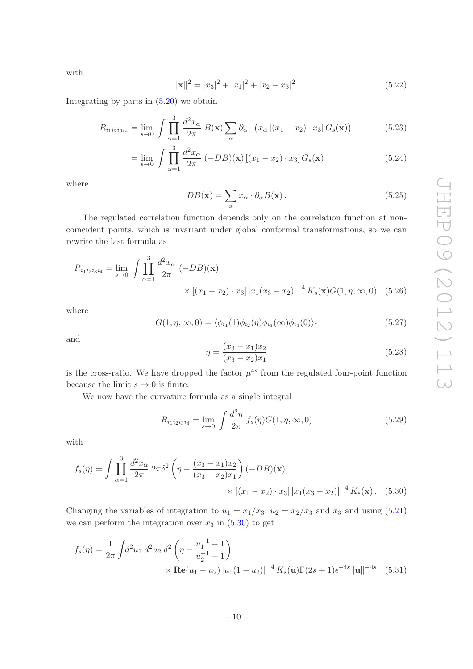with

$$
\|\mathbf{x}\|^2 = |x_3|^2 + |x_1|^2 + |x_2 - x_3|^2. \tag{5.22}
$$

Integrating by parts in [\(5.20\)](#page-9-1) we obtain

$$
R_{i_1 i_2 i_3 i_4} = \lim_{s \to 0} \int \prod_{\alpha=1}^3 \frac{d^2 x_\alpha}{2\pi} B(\mathbf{x}) \sum_{\alpha} \partial_\alpha \cdot \left( x_\alpha \left[ (x_1 - x_2) \cdot x_3 \right] G_s(\mathbf{x}) \right) \tag{5.23}
$$

$$
= \lim_{s \to 0} \int \prod_{\alpha=1}^{3} \frac{d^2 x_{\alpha}}{2\pi} \left( -DB(x) \left[ (x_1 - x_2) \cdot x_3 \right] G_s(\mathbf{x}) \right) \tag{5.24}
$$

where

$$
DB(\mathbf{x}) = \sum_{\alpha} x_{\alpha} \cdot \partial_{\alpha} B(\mathbf{x}). \tag{5.25}
$$

The regulated correlation function depends only on the correlation function at noncoincident points, which is invariant under global conformal transformations, so we can rewrite the last formula as

$$
R_{i_1 i_2 i_3 i_4} = \lim_{s \to 0} \int \prod_{\alpha=1}^3 \frac{d^2 x_\alpha}{2\pi} \, (-DB)(\mathbf{x}) \times \left[ (x_1 - x_2) \cdot x_3 \right] |x_1 (x_3 - x_2)|^{-4} \, K_s(\mathbf{x}) G(1, \eta, \infty, 0) \tag{5.26}
$$

where

$$
G(1, \eta, \infty, 0) = \langle \phi_{i_1}(1)\phi_{i_2}(\eta)\phi_{i_3}(\infty)\phi_{i_4}(0) \rangle_c \tag{5.27}
$$

and

<span id="page-10-0"></span>
$$
\eta = \frac{(x_3 - x_1)x_2}{(x_3 - x_2)x_1} \tag{5.28}
$$

is the cross-ratio. We have dropped the factor  $\mu^{4s}$  from the regulated four-point function because the limit  $s \to 0$  is finite.

We now have the curvature formula as a single integral

$$
R_{i_1 i_2 i_3 i_4} = \lim_{s \to 0} \int \frac{d^2 \eta}{2\pi} f_s(\eta) G(1, \eta, \infty, 0)
$$
 (5.29)

with

$$
f_s(\eta) = \int \prod_{\alpha=1}^3 \frac{d^2 x_\alpha}{2\pi} \, 2\pi \delta^2 \left( \eta - \frac{(x_3 - x_1)x_2}{(x_3 - x_2)x_1} \right) (-DB)(\mathbf{x}) \times \left[ (x_1 - x_2) \cdot x_3 \right] |x_1(x_3 - x_2)|^{-4} K_s(\mathbf{x}). \tag{5.30}
$$

Changing the variables of integration to  $u_1 = x_1/x_3$ ,  $u_2 = x_2/x_3$  and  $x_3$  and using [\(5.21](#page-9-2)) we can perform the integration over  $x_3$  in  $(5.30)$  to get

$$
f_s(\eta) = \frac{1}{2\pi} \int d^2 u_1 \, d^2 u_2 \, \delta^2 \left( \eta - \frac{u_1^{-1} - 1}{u_2^{-1} - 1} \right) \times \mathbf{Re}(u_1 - u_2) |u_1(1 - u_2)|^{-4} K_s(\mathbf{u}) \Gamma(2s + 1) \epsilon^{-4s} ||\mathbf{u}||^{-4s} \quad (5.31)
$$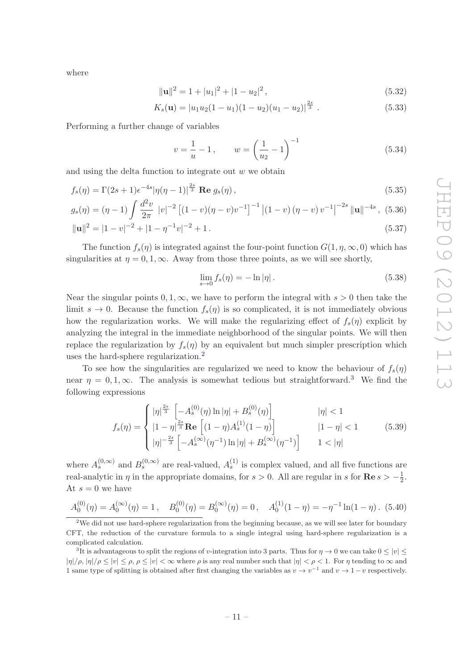where

$$
\|\mathbf{u}\|^2 = 1 + |u_1|^2 + |1 - u_2|^2, \tag{5.32}
$$

$$
K_s(\mathbf{u}) = |u_1 u_2 (1 - u_1)(1 - u_2)(u_1 - u_2)|^{\frac{2s}{3}}.
$$
\n(5.33)

Performing a further change of variables

$$
v = \frac{1}{u} - 1
$$
,  $w = \left(\frac{1}{u_2} - 1\right)^{-1}$  (5.34)

and using the delta function to integrate out  $w$  we obtain

$$
f_s(\eta) = \Gamma(2s+1)\epsilon^{-4s} |\eta(\eta-1)|^{\frac{2s}{3}} \text{ Re } g_s(\eta) , \qquad (5.35)
$$

$$
g_s(\eta) = (\eta - 1) \int \frac{d^2 v}{2\pi} |v|^{-2} \left[ (1 - v)(\eta - v)v^{-1} \right]^{-1} \left| (1 - v)(\eta - v)v^{-1} \right|^{-2s} ||\mathbf{u}||^{-4s}, (5.36)
$$

$$
\|\mathbf{u}\|^2 = |1 - v|^{-2} + |1 - \eta^{-1}v|^{-2} + 1. \tag{5.37}
$$

The function  $f_s(\eta)$  is integrated against the four-point function  $G(1, \eta, \infty, 0)$  which has singularities at  $\eta = 0, 1, \infty$ . Away from those three points, as we will see shortly,

$$
\lim_{s \to 0} f_s(\eta) = -\ln|\eta| \,. \tag{5.38}
$$

Near the singular points  $0, 1, \infty$ , we have to perform the integral with  $s > 0$  then take the limit  $s \to 0$ . Because the function  $f_s(\eta)$  is so complicated, it is not immediately obvious how the regularization works. We will make the regularizing effect of  $f_s(\eta)$  explicit by analyzing the integral in the immediate neighborhood of the singular points. We will then replace the regularization by  $f_s(\eta)$  by an equivalent but much simpler prescription which uses the hard-sphere regularization. [2](#page-11-0)

To see how the singularities are regularized we need to know the behaviour of  $f_s(\eta)$ near  $\eta = 0, 1, \infty$ . The analysis is somewhat tedious but straightforward.<sup>[3](#page-11-1)</sup> We find the following expressions

<span id="page-11-2"></span>
$$
f_s(\eta) = \begin{cases} |\eta|^{\frac{2s}{3}} \left[ -A_s^{(0)}(\eta) \ln |\eta| + B_s^{(0)}(\eta) \right] & |\eta| < 1\\ |1 - \eta|^{\frac{2s}{3}} \mathbf{Re} \left[ (1 - \eta) A_s^{(1)}(1 - \eta) \right] & |1 - \eta| < 1\\ |\eta|^{-\frac{2s}{3}} \left[ -A_s^{(\infty)}(\eta^{-1}) \ln |\eta| + B_s^{(\infty)}(\eta^{-1}) \right] & 1 < |\eta| \end{cases}
$$
(5.39)

where  $A_s^{(0,\infty)}$  and  $B_s^{(0,\infty)}$  are real-valued,  $A_s^{(1)}$  is complex valued, and all five functions are real-analytic in  $\eta$  in the appropriate domains, for  $s > 0$ . All are regular in s for  $\text{Re } s > -\frac{1}{2}$ . At  $s=0$  we have

$$
A_0^{(0)}(\eta) = A_0^{(\infty)}(\eta) = 1, \quad B_0^{(0)}(\eta) = B_0^{(\infty)}(\eta) = 0, \quad A_0^{(1)}(1 - \eta) = -\eta^{-1}\ln(1 - \eta). \tag{5.40}
$$

<span id="page-11-0"></span><sup>&</sup>lt;sup>2</sup>We did not use hard-sphere regularization from the beginning because, as we will see later for boundary CFT, the reduction of the curvature formula to a single integral using hard-sphere regularization is a complicated calculation.

<span id="page-11-1"></span><sup>&</sup>lt;sup>3</sup>It is advantageous to split the regions of v-integration into 3 parts. Thus for  $\eta \to 0$  we can take  $0 \le |v| \le$  $|\eta|/\rho, |\eta|/\rho \leq |v| \leq \rho, \rho \leq |v| < \infty$  where  $\rho$  is any real number such that  $|\eta| < \rho < 1$ . For  $\eta$  tending to  $\infty$  and 1 same type of splitting is obtained after first changing the variables as  $v \to v^{-1}$  and  $v \to 1-v$  respectively.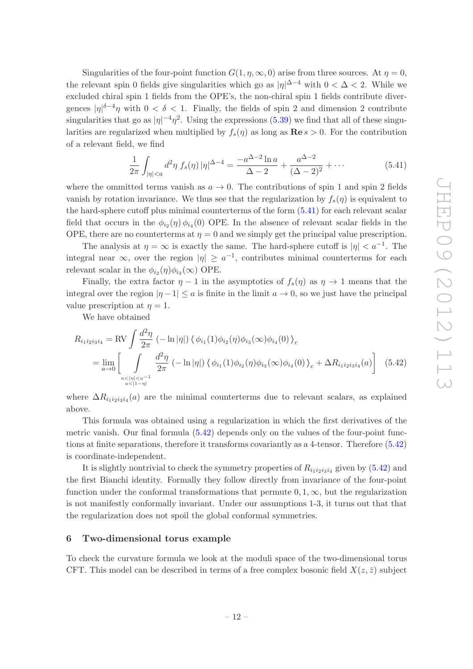Singularities of the four-point function  $G(1, \eta, \infty, 0)$  arise from three sources. At  $\eta = 0$ , the relevant spin 0 fields give singularities which go as  $|\eta|^{n-4}$  with  $0 < \Delta < 2$ . While we excluded chiral spin 1 fields from the OPE's, the non-chiral spin 1 fields contribute divergences  $|\eta|^{\delta-4}\eta$  with  $0 < \delta < 1$ . Finally, the fields of spin 2 and dimension 2 contribute singularities that go as  $|\eta|^{-4} \eta^2$ . Using the expressions [\(5.39\)](#page-11-2) we find that all of these singularities are regularized when multiplied by  $f_s(\eta)$  as long as  $\mathbf{Re}\,s > 0$ . For the contribution of a relevant field, we find

<span id="page-12-1"></span>
$$
\frac{1}{2\pi} \int_{|\eta| < a} d^2 \eta \, f_s(\eta) \, |\eta|^{\Delta - 4} = \frac{-a^{\Delta - 2} \ln a}{\Delta - 2} + \frac{a^{\Delta - 2}}{(\Delta - 2)^2} + \cdots \tag{5.41}
$$

where the ommitted terms vanish as  $a \to 0$ . The contributions of spin 1 and spin 2 fields vanish by rotation invariance. We thus see that the regularization by  $f_s(\eta)$  is equivalent to the hard-sphere cuto ff plus minimal counterterms of the form [\(5.41\)](#page-12-1) for each relevant scalar field that occurs in the  $\phi_{i_2}(\eta) \phi_{i_4}(0)$  OPE. In the absence of relevant scalar fields in the OPE, there are no counterterms at  $\eta = 0$  and we simply get the principal value prescription.

The analysis at  $\eta = \infty$  is exactly the same. The hard-sphere cutoff is  $|\eta| < a^{-1}$ . The integral near  $\infty$ , over the region  $|\eta| \geq a^{-1}$ , contributes minimal counterterms for each relevant scalar in the  $\phi_{i_2}(\eta)\phi_{i_3}(\infty)$  OPE.

Finally, the extra factor  $\eta - 1$  in the asymptotics of  $f_s(\eta)$  as  $\eta \to 1$  means that the integral over the region  $|\eta - 1| \le a$  is finite in the limit  $a \to 0$ , so we just have the principal value prescription at  $\eta = 1$ .

<span id="page-12-2"></span>We have obtained

$$
R_{i_1 i_2 i_3 i_4} = \text{RV} \int \frac{d^2 \eta}{2\pi} \left( -\ln|\eta| \right) \langle \phi_{i_1}(1)\phi_{i_2}(\eta)\phi_{i_3}(\infty)\phi_{i_4}(0) \rangle_c
$$
  
= 
$$
\lim_{a \to 0} \left[ \int_{\substack{a < |\eta| < a^{-1} \\ a < |1 - \eta|}} \frac{d^2 \eta}{2\pi} \left( -\ln|\eta| \right) \langle \phi_{i_1}(1)\phi_{i_2}(\eta)\phi_{i_3}(\infty)\phi_{i_4}(0) \rangle_c + \Delta R_{i_1 i_2 i_3 i_4}(a) \right] (5.42)
$$

where  $\Delta R_{i_1 i_2 i_3 i_4}(a)$  are the minimal counterterms due to relevant scalars, as explained above.

This formula was obtained using a regularization in which the first derivatives of the metric vanish. Our final formula [\(5.42\)](#page-12-2) depends only on the values of the four-point functions at finite separations, therefore it transforms covariantly as a 4-tensor. Therefore [\(5.42\)](#page-12-2) is coordinate-independent.

It is slightly nontrivial to check the symmetry properties of  $R_{i_1 i_2 i_3 i_4}$  given by  $(5.42)$  and the first Bianchi identity. Formally they follow directly from invariance of the four-point function under the conformal transformations that permute  $0, 1, \infty$ , but the regularization is not manifestly conformally invariant. Under our assumptions 1-3, it turns out that that the regularization does not spoil the global conformal symmetries.

### <span id="page-12-0"></span>6 Two-dimensional torus example

To check the curvature formula we look at the moduli space of the two-dimensional torus CFT. This model can be described in terms of a free complex bosonic field  $X(z, \bar{z})$  subject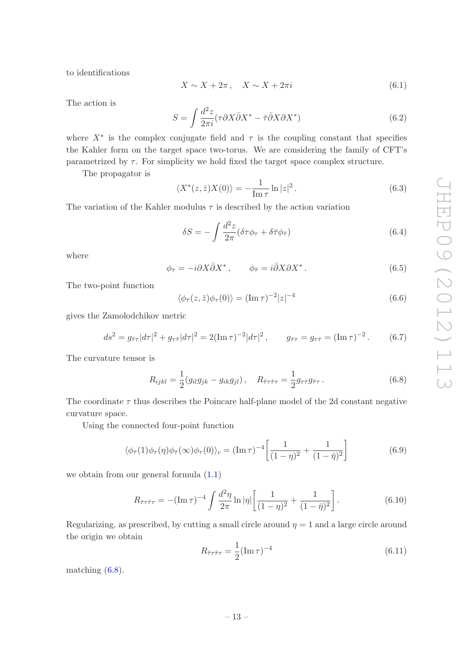to identifications

$$
X \sim X + 2\pi \,, \quad X \sim X + 2\pi i \tag{6.1}
$$

The action is

$$
S = \int \frac{d^2 z}{2\pi i} (\tau \partial X \bar{\partial} X^* - \bar{\tau} \bar{\partial} X \partial X^*)
$$
(6.2)

where  $X^*$  is the complex conjugate field and  $\tau$  is the coupling constant that specifies the Kahler form on the target space two-torus. We are considering the family of CFT's parametrized by  $\tau$ . For simplicity we hold fixed the target space complex structure.

The propagator is

$$
\langle X^*(z,\bar{z})X(0)\rangle = -\frac{1}{\operatorname{Im}\tau}\ln|z|^2.
$$
\n(6.3)

The variation of the Kahler modulus  $\tau$  is described by the action variation

$$
\delta S = -\int \frac{d^2 z}{2\pi} (\delta \tau \phi_\tau + \delta \bar{\tau} \phi_\tau)
$$
\n(6.4)

where

$$
\phi_{\tau} = -i\partial X\bar{\partial}X^*, \qquad \phi_{\bar{\tau}} = i\bar{\partial}X\partial X^*.
$$
\n(6.5)

The two-point function

$$
\langle \phi_{\bar{\tau}}(z,\bar{z})\phi_{\tau}(0)\rangle = (\operatorname{Im}\tau)^{-2}|z|^{-4}
$$
\n(6.6)

gives the Zamolodchikov metric

$$
ds^{2} = g_{\bar{\tau}\tau}|d\tau|^{2} + g_{\tau\bar{\tau}}|d\tau|^{2} = 2(\text{Im}\,\tau)^{-2}|d\tau|^{2}, \qquad g_{\bar{\tau}\tau} = g_{\tau\bar{\tau}} = (\text{Im}\,\tau)^{-2}. \tag{6.7}
$$

The curvature tensor is

<span id="page-13-0"></span>
$$
R_{ijkl} = \frac{1}{2} (g_{il}g_{jk} - g_{ik}g_{jl}), \quad R_{\bar{\tau}\tau\bar{\tau}\tau} = \frac{1}{2} g_{\tau\bar{\tau}} g_{\bar{\tau}\tau}.
$$
 (6.8)

The coordinate  $\tau$  thus describes the Poincare half-plane model of the 2d constant negative curvature space.

Using the connected four-point function

$$
\langle \phi_{\overline{\tau}}(1)\phi_{\tau}(\eta)\phi_{\overline{\tau}}(\infty)\phi_{\tau}(0)\rangle_c = (\operatorname{Im}\tau)^{-4} \left[\frac{1}{(1-\eta)^2} + \frac{1}{(1-\overline{\eta})^2}\right]
$$
(6.9)

we obtain from our general formula  $(1.1)$  $(1.1)$ 

$$
R_{\bar{\tau}\tau\bar{\tau}\tau} = -(\operatorname{Im}\tau)^{-4} \int \frac{d^2\eta}{2\pi} \ln|\eta| \left[ \frac{1}{(1-\eta)^2} + \frac{1}{(1-\bar{\eta})^2} \right]. \tag{6.10}
$$

Regularizing, as prescribed, by cutting a small circle around  $\eta = 1$  and a large circle around the origin we obtain

$$
R_{\bar{\tau}\tau\bar{\tau}\tau} = \frac{1}{2} (\text{Im}\,\tau)^{-4} \tag{6.11}
$$

matching [\(6.8\)](#page-13-0).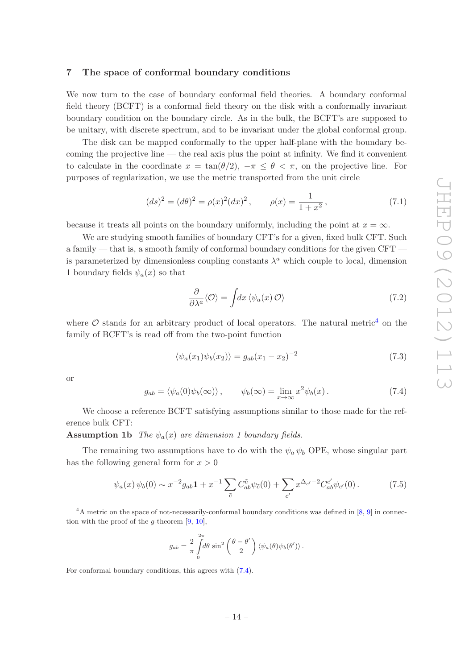### <span id="page-14-0"></span>7 The space of conformal boundary conditions

We now turn to the case of boundary conformal field theories. A boundary conformal field theory (BCFT) is a conformal field theory on the disk with a conformally invariant boundary condition on the boundary circle. As in the bulk, the BCFT's are supposed to be unitary, with discrete spectrum, and to be invariant under the global conformal group.

The disk can be mapped conformally to the upper half-plane with the boundary becoming the projective line — the real axis plus the point at infinity. We find it convenient to calculate in the coordinate  $x = \tan(\theta/2), -\pi \leq \theta < \pi$ , on the projective line. For purposes of regularization, we use the metric transported from the unit circle

<span id="page-14-4"></span>
$$
(ds)^{2} = (d\theta)^{2} = \rho(x)^{2}(dx)^{2}, \qquad \rho(x) = \frac{1}{1+x^{2}},
$$
\n(7.1)

because it treats all points on the boundary uniformly, including the point at  $x = \infty$ .

We are studying smooth families of boundary CFT's for a given, fixed bulk CFT. Such a family — that is, a smooth family of conformal boundary conditions for the given CFT is parameterized by dimensionless coupling constants  $\lambda^a$  which couple to local, dimension 1 boundary fields  $\psi_a(x)$  so that

$$
\frac{\partial}{\partial \lambda^a} \langle \mathcal{O} \rangle = \int dx \, \langle \psi_a(x) \, \mathcal{O} \rangle \tag{7.2}
$$

where  $\mathcal O$  stands for an arbitrary product of local operators. The natural metric<sup>[4](#page-14-1)</sup> on the family of BCFT's is read o ff from the two-point function

$$
\langle \psi_a(x_1)\psi_b(x_2)\rangle = g_{ab}(x_1 - x_2)^{-2} \tag{7.3}
$$

or

<span id="page-14-2"></span>
$$
g_{ab} = \langle \psi_a(0)\psi_b(\infty) \rangle, \qquad \psi_b(\infty) = \lim_{x \to \infty} x^2 \psi_b(x). \tag{7.4}
$$

We choose a reference BCFT satisfying assumptions similar to those made for the reference bulk CFT:

**Assumption 1b** The  $\psi_a(x)$  are dimension 1 boundary fields.

The remaining two assumptions have to do with the  $\psi_a \psi_b$  OPE, whose singular part has the following general form for  $x > 0$ 

<span id="page-14-3"></span>
$$
\psi_a(x)\,\psi_b(0) \sim x^{-2}g_{ab}\mathbf{1} + x^{-1} \sum_{\tilde{c}} C^{\tilde{c}}_{ab}\psi_{\tilde{c}}(0) + \sum_{c'} x^{\Delta_{c'}-2} C^{\tilde{c}'}_{ab}\psi_{c'}(0). \tag{7.5}
$$

$$
g_{ab} = \frac{2}{\pi} \int_{0}^{2\pi} d\theta \sin^2\left(\frac{\theta - \theta'}{2}\right) \langle \psi_a(\theta) \psi_b(\theta') \rangle.
$$

For conformal boundary conditions, this agrees with [\(7.4\)](#page-14-2).

<span id="page-14-1"></span> $4A$  metric on the space of not-necessarily-conformal boundary conditions was defined in [[8](#page-36-7), [9](#page-36-8)] in connection with the proof of the *q*-theorem  $[9, 10]$  $[9, 10]$  $[9, 10]$  $[9, 10]$ ,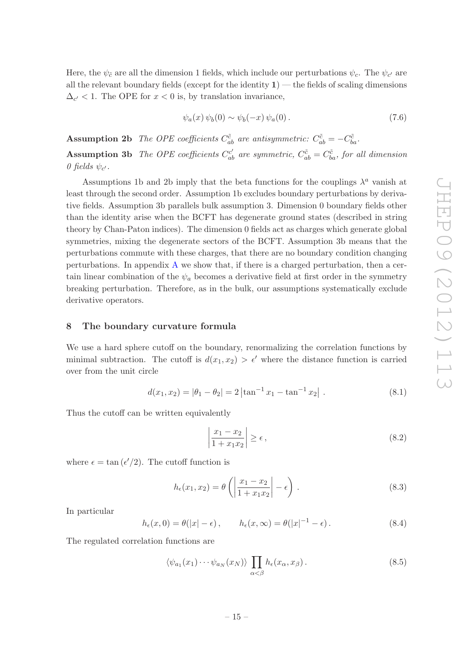Here, the  $\psi_{\tilde{c}}$  are all the dimension 1 fields, which include our perturbations  $\psi_c$ . The  $\psi_{c'}$  are all the relevant boundary fields (except for the identity  $1$ ) — the fields of scaling dimensions  $\Delta_{c'}$  < 1. The OPE for  $x < 0$  is, by translation invariance,

$$
\psi_a(x)\,\psi_b(0)\sim\psi_b(-x)\,\psi_a(0)\,.
$$
\n
$$
(7.6)
$$

**Assumption 2b** The OPE coefficients  $C_{ab}^{\tilde{c}}$  are antisymmetric:  $C_{ab}^{\tilde{c}} = -C_{ba}^{\tilde{c}}$ . **Assumption 3b** The OPE coefficients  $C_{ab}^{c'}$  are symmetric,  $C_{ab}^{\tilde{c}} = C_{ba}^{\tilde{c}}$ , for all dimension 0 fields  $\psi_{c'}$ .

Assumptions 1b and 2b imply that the beta functions for the couplings  $\lambda^a$  vanish at least through the second order. Assumption 1b excludes boundary perturbations by derivative fields. Assumption 3b parallels bulk assumption 3. Dimension 0 boundary fields other than the identity arise when the BCFT has degenerate ground states (described in string theory by Chan-Paton indices). The dimension 0 fields act as charges which generate global symmetries, mixing the degenerate sectors of the BCFT. Assumption 3b means that the perturbations commute with these charges, that there are no boundary condition changing perturbations. In appendix [A](#page-24-0) we show that, if there is a charged perturbation, then a certain linear combination of the  $\psi_a$  becomes a derivative field at first order in the symmetry breaking perturbation. Therefore, as in the bulk, our assumptions systematically exclude derivative operators.

### <span id="page-15-0"></span>8 The boundary curvature formula

We use a hard sphere cutoff on the boundary, renormalizing the correlation functions by minimal subtraction. The cutoff is  $d(x_1, x_2) > \epsilon'$  where the distance function is carried over from the unit circle

$$
d(x_1, x_2) = |\theta_1 - \theta_2| = 2 \left| \tan^{-1} x_1 - \tan^{-1} x_2 \right|.
$$
 (8.1)

Thus the cuto ff can be written equivalently

$$
\left|\frac{x_1 - x_2}{1 + x_1 x_2}\right| \ge \epsilon\,,\tag{8.2}
$$

where  $\epsilon = \tan(\epsilon'/2)$ . The cutoff function is

$$
h_{\epsilon}(x_1, x_2) = \theta\left(\left|\frac{x_1 - x_2}{1 + x_1 x_2}\right| - \epsilon\right). \tag{8.3}
$$

In particular

$$
h_{\epsilon}(x,0) = \theta(|x| - \epsilon), \qquad h_{\epsilon}(x,\infty) = \theta(|x|^{-1} - \epsilon).
$$
 (8.4)

The regulated correlation functions are

$$
\langle \psi_{a_1}(x_1) \cdots \psi_{a_N}(x_N) \rangle \prod_{\alpha < \beta} h_{\epsilon}(x_{\alpha}, x_{\beta}). \tag{8.5}
$$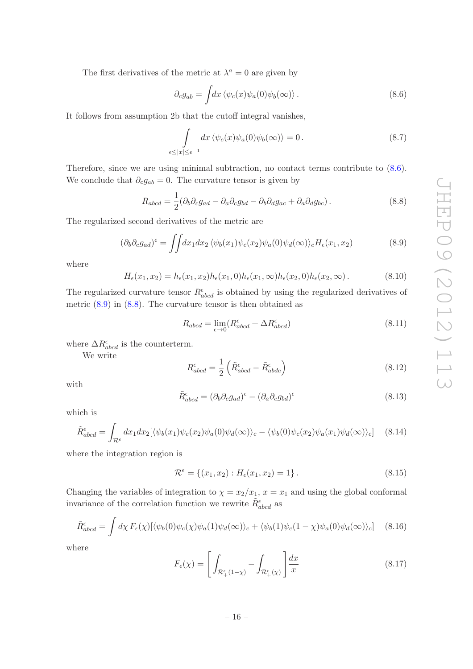The first derivatives of the metric at  $\lambda^a = 0$  are given by

<span id="page-16-0"></span>
$$
\partial_c g_{ab} = \int dx \left\langle \psi_c(x) \psi_a(0) \psi_b(\infty) \right\rangle. \tag{8.6}
$$

It follows from assumption 2b that the cutoff integral vanishes,

$$
\int_{\epsilon \le |x| \le \epsilon^{-1}} dx \langle \psi_c(x) \psi_a(0) \psi_b(\infty) \rangle = 0.
$$
\n(8.7)

Therefore, since we are using minimal subtraction, no contact terms contribute to  $(8.6)$ . We conclude that  $\partial_c g_{ab} = 0$ . The curvature tensor is given by

<span id="page-16-2"></span>
$$
R_{abcd} = \frac{1}{2} (\partial_b \partial_c g_{ad} - \partial_a \partial_c g_{bd} - \partial_b \partial_d g_{ac} + \partial_a \partial_d g_{bc}). \tag{8.8}
$$

The regularized second derivatives of the metric are

<span id="page-16-1"></span>
$$
(\partial_b \partial_c g_{ad})^{\epsilon} = \iint dx_1 dx_2 \langle \psi_b(x_1) \psi_c(x_2) \psi_a(0) \psi_d(\infty) \rangle_c H_{\epsilon}(x_1, x_2)
$$
(8.9)

where

$$
H_{\epsilon}(x_1, x_2) = h_{\epsilon}(x_1, x_2)h_{\epsilon}(x_1, 0)h_{\epsilon}(x_1, \infty)h_{\epsilon}(x_2, 0)h_{\epsilon}(x_2, \infty).
$$
 (8.10)

The regularized curvature tensor  $R_{abcd}^{\epsilon}$  is obtained by using the regularized derivatives of metric [\(8.9\)](#page-16-1) in [\(8.8\)](#page-16-2). The curvature tensor is then obtained as

$$
R_{abcd} = \lim_{\epsilon \to 0} (R^{\epsilon}_{abcd} + \Delta R^{\epsilon}_{abcd})
$$
\n(8.11)

where  $\Delta R^{\epsilon}_{abcd}$  is the counterterm.

We write

$$
R_{abcd}^{\epsilon} = \frac{1}{2} \left( \tilde{R}_{abcd}^{\epsilon} - \tilde{R}_{abcd}^{\epsilon} \right)
$$
 (8.12)

with

$$
\tilde{R}^{\epsilon}_{abcd} = (\partial_b \partial_c g_{ad})^{\epsilon} - (\partial_a \partial_c g_{bd})^{\epsilon}
$$
\n(8.13)

which is

$$
\tilde{R}^{\epsilon}_{abcd} = \int_{\mathcal{R}^{\epsilon}} dx_1 dx_2 [\langle \psi_b(x_1) \psi_c(x_2) \psi_a(0) \psi_d(\infty) \rangle_c - \langle \psi_b(0) \psi_c(x_2) \psi_a(x_1) \psi_d(\infty) \rangle_c] \tag{8.14}
$$

where the integration region is

$$
\mathcal{R}^{\epsilon} = \{(x_1, x_2) : H_{\epsilon}(x_1, x_2) = 1\}.
$$
\n(8.15)

Changing the variables of integration to  $\chi = x_2/x_1$ ,  $x = x_1$  and using the global conformal invariance of the correlation function we rewrite  $\tilde{R}^{\epsilon}_{abcd}$  as

$$
\tilde{R}^{\epsilon}_{abcd} = \int d\chi \, F_{\epsilon}(\chi) [\langle \psi_b(0) \psi_c(\chi) \psi_a(1) \psi_d(\infty) \rangle_c + \langle \psi_b(1) \psi_c(1-\chi) \psi_a(0) \psi_d(\infty) \rangle_c] \tag{8.16}
$$

where

<span id="page-16-3"></span>
$$
F_{\epsilon}(\chi) = \left[ \int_{\mathcal{R}_{+}^{\epsilon}(1-\chi)} - \int_{\mathcal{R}_{+}^{\epsilon}(\chi)} \right] \frac{dx}{x}
$$
(8.17)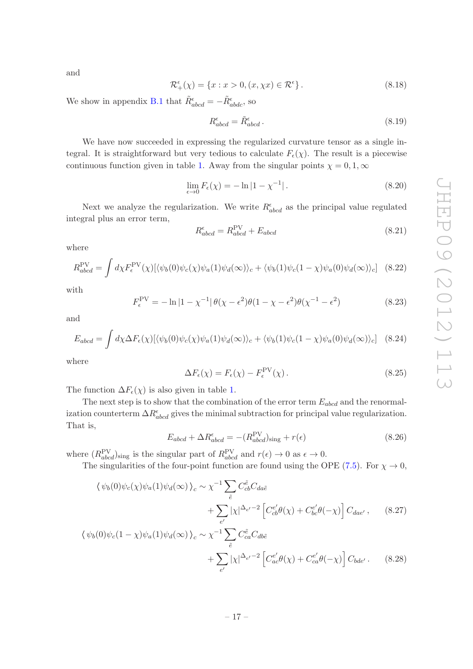and

<span id="page-17-3"></span>
$$
\mathcal{R}^{\epsilon}_{+}(\chi) = \{x : x > 0, (x, \chi x) \in \mathcal{R}^{\epsilon}\}.
$$
\n(8.18)

We show in appendix [B.1](#page-27-1) that  $\tilde{R}^{\epsilon}_{abcd} = -\tilde{R}^{\epsilon}_{abdc}$ , so

<span id="page-17-0"></span>
$$
R_{abcd}^{\epsilon} = \tilde{R}_{abcd}^{\epsilon}.
$$
\n(8.19)

We have now succeeded in expressing the regularized curvature tensor as a single integral. It is straightforward but very tedious to calculate  $F_{\epsilon}(\chi)$ . The result is a piecewise continuous function given in table [1.](#page-30-0) Away from the singular points  $\chi = 0, 1, \infty$ 

$$
\lim_{\epsilon \to 0} F_{\epsilon}(\chi) = -\ln|1 - \chi^{-1}|.
$$
\n(8.20)

Next we analyze the regularization. We write  $R_{abcd}^{\epsilon}$  as the principal value regulated integral plus an error term,

$$
R_{abcd}^{\epsilon} = R_{abcd}^{\text{PV}} + E_{abcd} \tag{8.21}
$$

where

$$
R_{abcd}^{\text{PV}} = \int d\chi F_{\epsilon}^{\text{PV}}(\chi) [\langle \psi_b(0) \psi_c(\chi) \psi_a(1) \psi_d(\infty) \rangle_c + \langle \psi_b(1) \psi_c(1-\chi) \psi_a(0) \psi_d(\infty) \rangle_c] \tag{8.22}
$$

with

<span id="page-17-1"></span>
$$
F_{\epsilon}^{\text{PV}} = -\ln|1 - \chi^{-1}|\theta(\chi - \epsilon^2)\theta(1 - \chi - \epsilon^2)\theta(\chi^{-1} - \epsilon^2)
$$
 (8.23)

and

<span id="page-17-2"></span>
$$
E_{abcd} = \int d\chi \Delta F_{\epsilon}(\chi) [\langle \psi_b(0) \psi_c(\chi) \psi_a(1) \psi_d(\infty) \rangle_c + \langle \psi_b(1) \psi_c(1-\chi) \psi_a(0) \psi_d(\infty) \rangle_c] \quad (8.24)
$$

where

<span id="page-17-4"></span>
$$
\Delta F_{\epsilon}(\chi) = F_{\epsilon}(\chi) - F_{\epsilon}^{\text{PV}}(\chi). \tag{8.25}
$$

The function  $\Delta F_{\epsilon}(\chi)$  is also given in table [1](#page-30-0).

The next step is to show that the combination of the error term  $E_{abcd}$  and the renormalization counterterm  $\Delta R_{abcd}^{\epsilon}$  gives the minimal subtraction for principal value regularization. That is,

$$
E_{abcd} + \Delta R^{\epsilon}_{abcd} = -(R^{\text{PV}}_{abcd})_{\text{sing}} + r(\epsilon)
$$
\n(8.26)

where  $(R_{abcd}^{PV})_{sing}$  is the singular part of  $R_{abcd}^{PV}$  and  $r(\epsilon) \to 0$  as  $\epsilon \to 0$ .

The singularities of the four-point function are found using the OPE [\(7.5\)](#page-14-3). For  $\chi \to 0$ ,

$$
\langle \psi_b(0)\psi_c(\chi)\psi_a(1)\psi_d(\infty)\rangle_c \sim \chi^{-1} \sum_{\tilde{e}} C_{cb}^{\tilde{e}} C_{da\tilde{e}} + \sum_{e'} |\chi|^{\Delta_{e'}-2} \left[ C_{cb}^{e'} \theta(\chi) + C_{bc}^{e'} \theta(-\chi) \right] C_{dae'}, \quad (8.27)
$$
  

$$
\psi_b(0)\psi_c(1-\chi)\psi_a(1)\psi_d(\infty)\rangle \sim \chi^{-1} \sum_{e'} C_{eb}^{\tilde{e}} C_{db\tilde{e}}
$$

$$
\langle \psi_b(0)\psi_c(1-\chi)\psi_a(1)\psi_d(\infty)\rangle_c \sim \chi^{-1} \sum_{\tilde{e}} C_{ca}^{\tilde{e}} C_{db\tilde{e}} + \sum_{e'} |\chi|^{\Delta_{e'}-2} \left[ C_{ac}^{e'} \theta(\chi) + C_{ca}^{e'} \theta(-\chi) \right] C_{bde'}.
$$
 (8.28)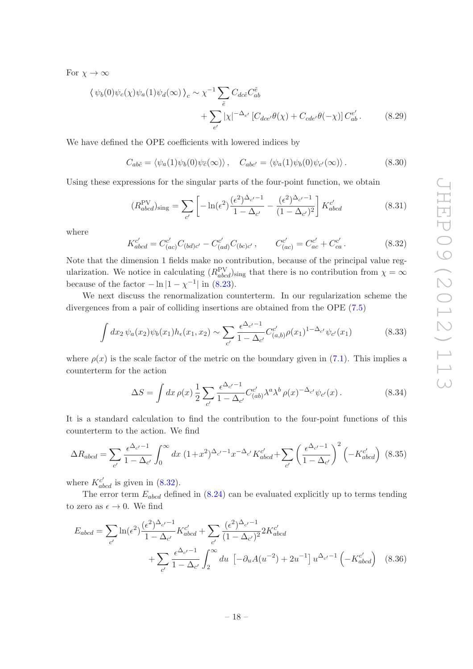For  $\chi \to \infty$ 

$$
\langle \psi_b(0)\psi_c(\chi)\psi_a(1)\psi_d(\infty)\rangle_c \sim \chi^{-1} \sum_{\tilde{e}} C_{dc\tilde{e}} C_{ab}^{\tilde{e}}
$$
  
+ 
$$
\sum_{e'} |\chi|^{-\Delta_{e'}} \left[C_{dce'}\theta(\chi) + C_{cde'}\theta(-\chi)\right] C_{ab}^{e'}.
$$
 (8.29)

We have defined the OPE coe fficients with lowered indices by

$$
C_{ab\tilde{c}} = \langle \psi_a(1)\psi_b(0)\psi_{\tilde{c}}(\infty) \rangle, \quad C_{abc'} = \langle \psi_a(1)\psi_b(0)\psi_{c'}(\infty) \rangle. \tag{8.30}
$$

Using these expressions for the singular parts of the four-point function, we obtain

$$
(R_{abcd}^{\text{PV}})_{\text{sing}} = \sum_{c'} \left[ -\ln(\epsilon^2) \frac{(\epsilon^2)^{\Delta_{c'}-1}}{1 - \Delta_{c'}} - \frac{(\epsilon^2)^{\Delta_{c'}-1}}{(1 - \Delta_{c'})^2} \right] K_{abcd}^{c'} \tag{8.31}
$$

where

<span id="page-18-0"></span>
$$
K_{abcd}^{c'} = C_{(ac)}^{c'} C_{(bd)c'} - C_{(ad)}^{c'} C_{(bc)c'}, \qquad C_{(ac)}^{c'} = C_{ac}^{c'} + C_{ca}^{c'}.
$$
 (8.32)

Note that the dimension 1 fields make no contribution, because of the principal value regularization. We notice in calculating  $(R_{abcd}^{PV})_{sing}$  that there is no contribution from  $\chi = \infty$ because of the factor  $-\ln|1-\chi^{-1}|$  in [\(8.23\)](#page-17-1).

We next discuss the renormalization counterterm. In our regularization scheme the divergences from a pair of colliding insertions are obtained from the OPE [\(7.5](#page-14-3) )

$$
\int dx_2 \,\psi_a(x_2)\psi_b(x_1)h_{\epsilon}(x_1,x_2) \sim \sum_{c'} \frac{\epsilon^{\Delta_{c'}-1}}{1-\Delta_{c'}} C_{(a,b)}^{c'} \rho(x_1)^{1-\Delta_{c'}} \psi_{c'}(x_1) \tag{8.33}
$$

where  $\rho(x)$  is the scale factor of the metric on the boundary given in [\(7.1\)](#page-14-4). This implies a counterterm for the action

<span id="page-18-1"></span>
$$
\Delta S = \int dx \,\rho(x) \frac{1}{2} \sum_{c'} \frac{\epsilon^{\Delta_{c'}-1}}{1 - \Delta_{c'}} C_{(ab)}^c \lambda^a \lambda^b \,\rho(x)^{-\Delta_{c'}} \psi_{c'}(x) \,. \tag{8.34}
$$

It is a standard calculation to find the contribution to the four-point functions of this counterterm to the action. We find

$$
\Delta R_{abcd} = \sum_{c'} \frac{\epsilon^{\Delta_{c'}-1}}{1 - \Delta_{c'}} \int_0^\infty dx \ (1 + x^2)^{\Delta_{c'}-1} x^{-\Delta_{c'}} K_{abcd}^{c'} + \sum_{c'} \left(\frac{\epsilon^{\Delta_{c'}-1}}{1 - \Delta_{c'}}\right)^2 \left(-K_{abcd}^{c'}\right) \ (8.35)
$$

where  $K_{abcd}^{c'}$  is given in [\(8.32\)](#page-18-0).

The error term  $E_{abcd}$  defined in  $(8.24)$  can be evaluated explicitly up to terms tending to zero as  $\epsilon \to 0$ . We find

$$
E_{abcd} = \sum_{c'} \ln(\epsilon^2) \frac{(\epsilon^2)^{\Delta_{c'}-1}}{1 - \Delta_{c'}} K_{abcd}^{c'} + \sum_{c'} \frac{(\epsilon^2)^{\Delta_{c'}-1}}{(1 - \Delta_{c'})^2} 2K_{abcd}^{c'}
$$

$$
+ \sum_{c'} \frac{\epsilon^{\Delta_{c'}-1}}{1 - \Delta_{c'}} \int_2^{\infty} du \left[ -\partial_u A(u^{-2}) + 2u^{-1} \right] u^{\Delta_{c'}-1} \left( -K_{abcd}^{c'} \right) \quad (8.36)
$$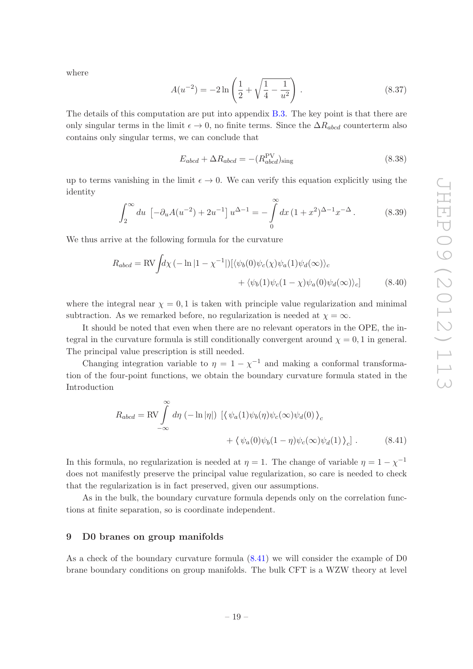where

$$
A(u^{-2}) = -2\ln\left(\frac{1}{2} + \sqrt{\frac{1}{4} - \frac{1}{u^2}}\right). \tag{8.37}
$$

The details of this computation are put into appendix [B.3.](#page-29-0) The key point is that there are only singular terms in the limit  $\epsilon \to 0$ , no finite terms. Since the  $\Delta R_{abcd}$  counterterm also contains only singular terms, we can conclude that

$$
E_{abcd} + \Delta R_{abcd} = -(R_{abcd}^{\text{PV}})_{\text{sing}} \tag{8.38}
$$

up to terms vanishing in the limit  $\epsilon \to 0$ . We can verify this equation explicitly using the identity

$$
\int_{2}^{\infty} du \, \left[ -\partial_{u} A(u^{-2}) + 2u^{-1} \right] u^{\Delta - 1} = -\int_{0}^{\infty} dx \, (1 + x^{2})^{\Delta - 1} x^{-\Delta} \,. \tag{8.39}
$$

We thus arrive at the following formula for the curvature

$$
R_{abcd} = \text{RV} \int d\chi \left( -\ln|1 - \chi^{-1}| \right) \left[ \langle \psi_b(0) \psi_c(\chi) \psi_a(1) \psi_d(\infty) \rangle_c + \langle \psi_b(1) \psi_c(1 - \chi) \psi_a(0) \psi_d(\infty) \rangle_c \right] \tag{8.40}
$$

where the integral near  $\chi = 0, 1$  is taken with principle value regularization and minimal subtraction. As we remarked before, no regularization is needed at  $\chi = \infty$ .

It should be noted that even when there are no relevant operators in the OPE, the integral in the curvature formula is still conditionally convergent around  $\chi = 0, 1$  in general. The principal value prescription is still needed.

Changing integration variable to  $\eta = 1 - \chi^{-1}$  and making a conformal transformation of the four-point functions, we obtain the boundary curvature formula stated in the Introduction

<span id="page-19-1"></span>
$$
R_{abcd} = \text{RV} \int_{-\infty}^{\infty} d\eta \, (-\ln|\eta|) \, \left[ \langle \psi_a(1)\psi_b(\eta)\psi_c(\infty)\psi_d(0) \rangle_c + \langle \psi_a(0)\psi_b(1-\eta)\psi_c(\infty)\psi_d(1) \rangle_c \right]. \tag{8.41}
$$

In this formula, no regularization is needed at  $\eta = 1$ . The change of variable  $\eta = 1 - \chi^{-1}$ does not manifestly preserve the principal value regularization, so care is needed to check that the regularization is in fact preserved, given our assumptions.

As in the bulk, the boundary curvature formula depends only on the correlation functions at finite separation, so is coordinate independent.

### <span id="page-19-0"></span>9 D0 branes on group manifolds

As a check of the boundary curvature formula [\(8.41\)](#page-19-1) we will consider the example of D0 brane boundary conditions on group manifolds. The bulk CFT is a WZW theory at level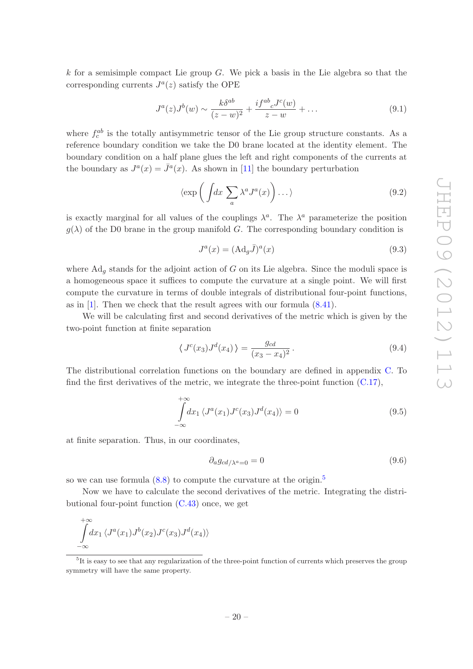k for a semisimple compact Lie group  $G$ . We pick a basis in the Lie algebra so that the corresponding currents  $J^a(z)$  satisfy the OPE

$$
J^{a}(z)J^{b}(w) \sim \frac{k\delta^{ab}}{(z-w)^{2}} + \frac{i f^{ab}{}_{c}J^{c}(w)}{z-w} + \dots
$$
\n(9.1)

where  $f_c^{ab}$  is the totally antisymmetric tensor of the Lie group structure constants. As a reference boundary condition we take the D0 brane located at the identity element. The boundary condition on a half plane glues the left and right components of the currents at the boundary as  $J^a(x) = \bar{J}^a(x)$ . As shown in [\[11\]](#page-37-1) the boundary perturbation

$$
\langle \exp\left(\int dx \sum_{a} \lambda^{a} J^{a}(x)\right) \dots \rangle \tag{9.2}
$$

is exactly marginal for all values of the couplings  $\lambda^a$ . The  $\lambda^a$  parameterize the position  $g(\lambda)$  of the D0 brane in the group manifold G. The corresponding boundary condition is

$$
J^{a}(x) = (\mathrm{Ad}_{g}\bar{J})^{a}(x) \tag{9.3}
$$

where  $Ad<sub>g</sub>$  stands for the adjoint action of G on its Lie algebra. Since the moduli space is a homogeneous space it su ffices to compute the curvature at a single point. We will first compute the curvature in terms of double integrals of distributional four-point functions, as in [ [1\]](#page-36-0). Then we check that the result agrees with our formula [\(8.41\)](#page-19-1).

We will be calculating first and second derivatives of the metric which is given by the two-point function at finite separation

$$
\langle J^{c}(x_3)J^{d}(x_4)\rangle = \frac{g_{cd}}{(x_3 - x_4)^2}.
$$
\n(9.4)

The distributional correlation functions on the boundary are defined in appendix [C.](#page-32-0) To find the first derivatives of the metric, we integrate the three-point function  $(C.17)$ ,

$$
\int_{-\infty}^{+\infty} dx_1 \langle J^a(x_1)J^c(x_3)J^d(x_4) \rangle = 0
$$
\n(9.5)

at finite separation. Thus, in our coordinates,

$$
\partial_a g_{cd/\lambda^a=0} = 0 \tag{9.6}
$$

so we can use formula  $(8.8)$  to compute the curvature at the origin.<sup>[5](#page-20-0)</sup>

Now we have to calculate the second derivatives of the metric. Integrating the distributional four-point function  $(C.43)$  once, we get

$$
\int_{-\infty}^{+\infty} dx_1 \langle J^a(x_1)J^b(x_2)J^c(x_3)J^d(x_4)\rangle
$$

<span id="page-20-0"></span> ${}^{5}$ It is easy to see that any regularization of the three-point function of currents which preserves the group symmetry will have the same property.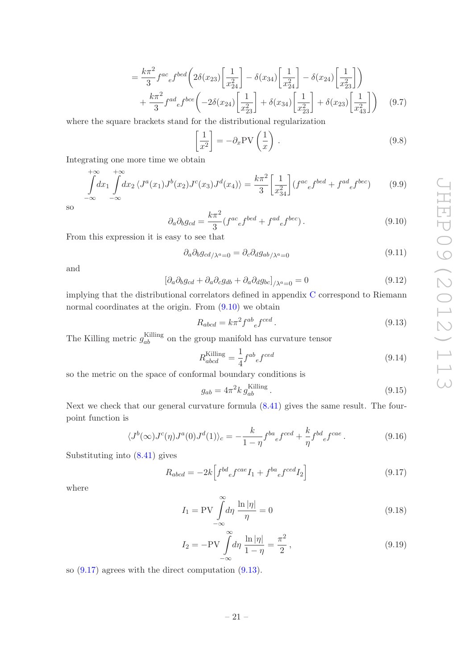$$
= \frac{k\pi^2}{3} f^{ac}{}_e f^{bed} \left( 2\delta(x_{23}) \left[ \frac{1}{x_{24}^2} \right] - \delta(x_{34}) \left[ \frac{1}{x_{24}^2} \right] - \delta(x_{24}) \left[ \frac{1}{x_{23}^2} \right] \right) + \frac{k\pi^2}{3} f^{ad}{}_e f^{bce} \left( -2\delta(x_{24}) \left[ \frac{1}{x_{23}^2} \right] + \delta(x_{34}) \left[ \frac{1}{x_{23}^2} \right] + \delta(x_{23}) \left[ \frac{1}{x_{43}^2} \right] \right) \tag{9.7}
$$

where the square brackets stand for the distributional regularization

$$
\left[\frac{1}{x^2}\right] = -\partial_x \text{PV}\left(\frac{1}{x}\right). \tag{9.8}
$$

Integrating one more time we obtain

$$
\int_{-\infty}^{+\infty} dx_1 \int_{-\infty}^{+\infty} dx_2 \langle J^a(x_1) J^b(x_2) J^c(x_3) J^d(x_4) \rangle = \frac{k\pi^2}{3} \left[ \frac{1}{x_3^2} \right] (f^{ac}{}_e f^{bed} + f^{ad}{}_e f^{bec}) \tag{9.9}
$$

so

<span id="page-21-0"></span>
$$
\partial_a \partial_b g_{cd} = \frac{k\pi^2}{3} (f^{ac}{}_e f^{bed} + f^{ad}{}_e f^{bec}). \tag{9.10}
$$

From this expression it is easy to see that

$$
\partial_a \partial_b g_{cd/\lambda^a=0} = \partial_c \partial_d g_{ab/\lambda^a=0} \tag{9.11}
$$

and

$$
\left[\partial_a \partial_b g_{cd} + \partial_a \partial_c g_{db} + \partial_a \partial_d g_{bc}\right]_{/\lambda^a = 0} = 0 \tag{9.12}
$$

implying that the distributional correlators defined in appendix [C](#page-32-0) correspond to Riemann normal coordinates at the origin. From  $(9.10)$  we obtain

<span id="page-21-2"></span>
$$
R_{abcd} = k\pi^2 f^{ab}{}_e f^{ced} \,. \tag{9.13}
$$

The Killing metric  $g_{ab}^{\text{Killing}}$  on the group manifold has curvature tensor

$$
R_{abcd}^{\text{Killing}} = \frac{1}{4} f^{ab}{}_e f^{ced} \tag{9.14}
$$

so the metric on the space of conformal boundary conditions i s

$$
g_{ab} = 4\pi^2 k g_{ab}^{\text{Killing}}.
$$
\n(9.15)

Next we check that our general curvature formula [\(8.41\)](#page-19-1) gives the same result. The fourpoint function is

$$
\langle J^b(\infty)J^c(\eta)J^a(0)J^d(1)\rangle_c = -\frac{k}{1-\eta}f^{ba}{}_{e}f^{ced} + \frac{k}{\eta}f^{bd}{}_{e}f^{cae}.
$$
 (9.16)

Substituting into [\(8.41\)](#page-19-1) gives

<span id="page-21-1"></span>
$$
R_{abcd} = -2k \left[ f^{bd}{}_e f^{cae} I_1 + f^{ba}{}_e f^{ced} I_2 \right]
$$
 (9.17)

where

$$
I_1 = \text{PV} \int_{-\infty}^{\infty} d\eta \, \frac{\ln|\eta|}{\eta} = 0 \tag{9.18}
$$

$$
I_2 = -PV \int_{-\infty}^{\infty} d\eta \, \frac{\ln|\eta|}{1-\eta} = \frac{\pi^2}{2},\tag{9.19}
$$

so [\(9.17\)](#page-21-1) agrees with the direct computation [\(9.13\)](#page-21-2).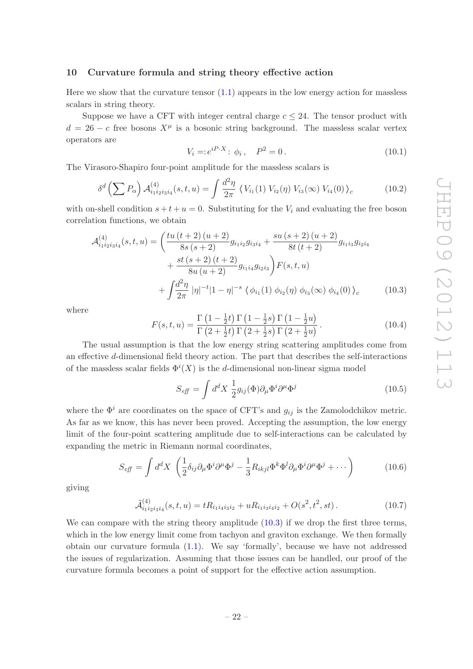### <span id="page-22-0"></span>10 Curvature formula and string theory e ffective action

Here we show that the curvature tensor  $(1.1)$  appears in the low energy action for massless scalars in string theory.

Suppose we have a CFT with integer central charge  $c \leq 24$ . The tensor product with  $d = 26 - c$  free bosons  $X^{\mu}$  is a bosonic string background. The massless scalar vertex operators are

$$
V_i = e^{iP \cdot X} : \phi_i, \quad P^2 = 0.
$$
\n(10.1)

The Virasoro-Shapiro four-point amplitude for the massless scalars is

$$
\delta^d \left( \sum P_{\alpha} \right) \mathcal{A}_{i_1 i_2 i_3 i_4}^{(4)}(s, t, u) = \int \frac{d^2 \eta}{2\pi} \left\langle V_{i_1}(1) \ V_{i_2}(\eta) \ V_{i_3}(\infty) \ V_{i_4}(0) \right\rangle_c \tag{10.2}
$$

with on-shell condition  $s + t + u = 0$ . Substituting for the  $V_i$  and evaluating the free boson correlation functions, we obtain

$$
\mathcal{A}_{i_1 i_2 i_3 i_4}^{(4)}(s, t, u) = \left(\frac{tu\,(t+2)\,(u+2)}{8s\,(s+2)}g_{i_1 i_2}g_{i_3 i_4} + \frac{su\,(s+2)\,(u+2)}{8t\,(t+2)}g_{i_1 i_3}g_{i_2 i_4}\right) \n+ \frac{st\,(s+2)\,(t+2)}{8u\,(u+2)}g_{i_1 i_4}g_{i_2 i_3}\bigg)F(s, t, u) \n+ \int \frac{d^2\eta}{2\pi} |\eta|^{-t}|1-\eta|^{-s} \left\langle \phi_{i_1}(1) \phi_{i_2}(\eta) \phi_{i_3}(\infty) \phi_{i_4}(0) \right\rangle_c \tag{10.3}
$$

where

$$
F(s,t,u) = \frac{\Gamma\left(1 - \frac{1}{2}t\right)\Gamma\left(1 - \frac{1}{2}s\right)\Gamma\left(1 - \frac{1}{2}u\right)}{\Gamma\left(2 + \frac{1}{2}t\right)\Gamma\left(2 + \frac{1}{2}s\right)\Gamma\left(2 + \frac{1}{2}u\right)}.
$$
\n(10.4)

The usual assumption is that the low energy string scattering amplitudes come from an e ffective d-dimensional field theory action. The part that describes the self-interactions of the massless scalar fields  $\Phi^{i}(X)$  is the d-dimensional non-linear sigma model

<span id="page-22-1"></span>
$$
S_{\text{eff}} = \int d^d X \frac{1}{2} g_{ij}(\Phi) \partial_\mu \Phi^i \partial^\mu \Phi^j \tag{10.5}
$$

where the  $\Phi^i$  are coordinates on the space of CFT's and  $g_{ij}$  is the Zamolodchikov metric. As far as we know, this has never been proved. Accepting the assumption, the low energy limit of the four-point scattering amplitude due to self-interactions can be calculated by expanding the metric in Riemann normal coordinates,

$$
S_{\text{eff}} = \int d^d X \left( \frac{1}{2} \delta_{ij} \partial_\mu \Phi^i \partial^\mu \Phi^j - \frac{1}{3} R_{ikjl} \Phi^k \Phi^l \partial_\mu \Phi^i \partial^\mu \Phi^j + \cdots \right) \tag{10.6}
$$

giving

$$
\tilde{\mathcal{A}}_{i_1 i_2 i_3 i_4}^{(4)}(s, t, u) = t R_{i_1 i_4 i_3 i_2} + u R_{i_1 i_3 i_4 i_2} + O(s^2, t^2, st).
$$
\n(10.7)

We can compare with the string theory amplitude  $(10.3)$  if we drop the first three terms, which in the low energy limit come from tachyon and graviton exchange. We then formally obtain our curvature formula [\(1.1\)](#page-1-1). We say 'formally', because we have not addressed the issues of regularization. Assuming that those issues can be handled, our proof of the curvature formula becomes a point of support for the e ffective action assumption.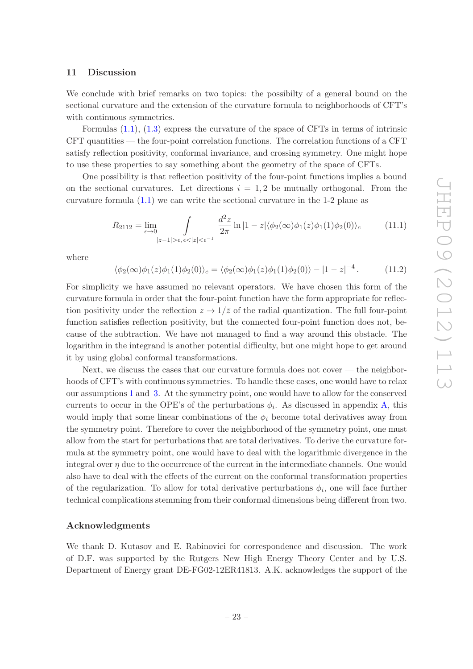### <span id="page-23-0"></span>11 Discussion

We conclude with brief remarks on two topics: the possibilty of a general bound on the sectional curvature and the extension of the curvature formula to neighborhoods of CFT's with continuous symmetries.

Formulas [\(1.1\)](#page-1-1), [\(1.3\)](#page-2-0) express the curvature of the space of CFTs in terms of intrinsic CFT quantities — the four-point correlation functions. The correlation functions of a CFT satisfy reflection positivity, conformal invariance, and crossing symmetry. One might hope to use these properties to say something about the geometry of the space of CFTs.

One possibility is that reflection positivity of the four-point functions implies a bound on the sectional curvatures. Let directions  $i = 1, 2$  be mutually orthogonal. From the curvature formula [\(1.1\)](#page-1-1) we can write the sectional curvature in the 1-2 plane as

$$
R_{2112} = \lim_{\epsilon \to 0} \int_{|z-1| > \epsilon, \epsilon < |z| < \epsilon^{-1}} \frac{d^2 z}{2\pi} \ln|1-z| \langle \phi_2(\infty)\phi_1(z)\phi_1(1)\phi_2(0) \rangle_c \tag{11.1}
$$

where

$$
\langle \phi_2(\infty)\phi_1(z)\phi_1(1)\phi_2(0)\rangle_c = \langle \phi_2(\infty)\phi_1(z)\phi_1(1)\phi_2(0)\rangle - |1-z|^{-4}.
$$
 (11.2)

For simplicity we have assumed no relevant operators. We have chosen this form of the curvature formula in order that the four-point function have the form appropriate for reflection positivity under the reflection  $z \to 1/\overline{z}$  of the radial quantization. The full four-point function satisfies reflection positivity, but the connected four-point function does not, because of the subtraction. We have not managed to find a way around this obstacle. The logarithm in the integrand is another potential di fficulty, but one might hope to get around it by using global conformal transformations.

Next, we discuss the cases that our curvature formula does not cover — the neighborhoods of CFT's with continuous symmetries. To handle these cases, one would have to relax our assumptions [1](#page-3-2) and [3.](#page-3-4) At the symmetry point, one would have to allow for the conserved currents to occur in the OPE's of the perturbations  $\phi_i$ . As discussed in appendix [A,](#page-24-0) this would imply that some linear combinations of the  $\phi_i$  become total derivatives away from the symmetry point. Therefore to cover the neighborhood of the symmetry point, one must allow from the start for perturbations that are total derivatives. To derive the curvature formula at the symmetry point, one would have to deal with the logarithmic divergence in the integral over  $\eta$  due to the occurrence of the current in the intermediate channels. One would also have to deal with the e ffects of the current on the conformal transformation properties of the regularization. To allow for total derivative perturbations  $\phi_i$ , one will face further technical complications stemming from their conformal dimensions being di fferent from two.

### Acknowledgments

We thank D. Kutasov and E. Rabinovici for correspondence and discussion. The work of D.F. was supported by the Rutgers New High Energy Theory Center and by U.S. Department of Energy grant DE-FG02-12ER41813. A.K. acknowledges the support of the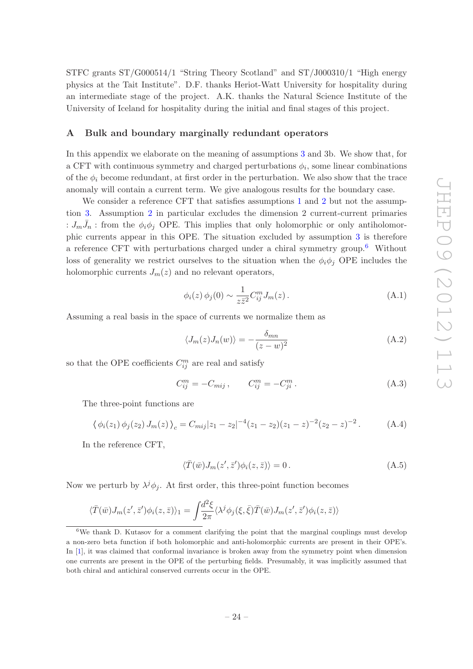STFC grants ST/G000514/1 "String Theory Scotland" and ST/J000310/1 "High energy physics at the Tait Institute". D.F. thanks Heriot-Watt University for hospitality during an intermediate stage of the project. A.K. thanks the Natural Science Institute of the University of Iceland for hospitality during the initial and final stages of this project.

### <span id="page-24-0"></span>A Bulk and boundary marginally redundant operators

In this appendix we elaborate on the meaning of assumptions [3](#page-3-4) and 3b. We show that, for a CFT with continuous symmetry and charged perturbations  $\phi_i$ , some linear combinations of the  $\phi_i$  become redundant, at first order in the perturbation. We also show that the trace anomaly will contain a current term. We give analogous results for the boundary case.

We consider a reference CFT that satisfies assumptions [1](#page-3-2) and [2](#page-3-3) but not the assumption [3.](#page-3-4) Assumption [2](#page-3-3) in particular excludes the dimension 2 current-current primaries :  $J_m\bar{J}_n$ : from the  $\phi_i\phi_j$  OPE. This implies that only holomorphic or only antiholomorphic currents appear in this OPE. The situation excluded by assumption [3](#page-3-4) is therefore a reference CFT with perturbations charged under a chiral symmetry group. [6](#page-24-1) Without loss of generality we restrict ourselves to the situation when the  $\phi_i \phi_j$  OPE includes the holomorphic currents  $J_m(z)$  and no relevant operators,

$$
\phi_i(z)\,\phi_j(0)\sim\frac{1}{z\bar{z}^2}C_{ij}^mJ_m(z)\,. \tag{A.1}
$$

Assuming a real basis in the space of currents we normalize them as

$$
\langle J_m(z)J_n(w)\rangle = -\frac{\delta_{mn}}{(z-w)^2}
$$
 (A.2)

so that the OPE coefficients  $C_{ij}^m$  are real and satisfy

$$
C_{ij}^{m} = -C_{mij} \,, \qquad C_{ij}^{m} = -C_{ji}^{m} \,. \tag{A.3}
$$

The three-point functions are

$$
\langle \phi_i(z_1) \phi_j(z_2) J_m(z) \rangle_c = C_{mij} |z_1 - z_2|^{-4} (z_1 - z_2)(z_1 - z)^{-2} (z_2 - z)^{-2} . \tag{A.4}
$$

In the reference CFT,

$$
\langle \overline{T}(\overline{w})J_m(z',\overline{z}')\phi_i(z,\overline{z})\rangle = 0.
$$
\n(A.5)

Now we perturb by  $\lambda^j \phi_j$ . At first order, this three-point function becomes

$$
\langle \bar{T}(\bar{w})J_m(z',\bar{z}')\phi_i(z,\bar{z})\rangle_1 = \int \frac{d^2\xi}{2\pi} \langle \lambda^j \phi_j(\xi,\bar{\xi})\bar{T}(\bar{w})J_m(z',\bar{z}')\phi_i(z,\bar{z})\rangle
$$

<span id="page-24-1"></span><sup>&</sup>lt;sup>6</sup>We thank D. Kutasov for a comment clarifying the point that the marginal couplings must develop a non-zero beta function if both holomorphic and anti-holomorphic currents are present in their OPE's. In [ [1](#page-36-0)], it was claimed that conformal invariance is broken away from the symmetry point when dimension one currents are present in the OPE of the perturbing fields. Presumably, it was implicitly assumed that both chiral and antichiral conserved currents occur in the OPE.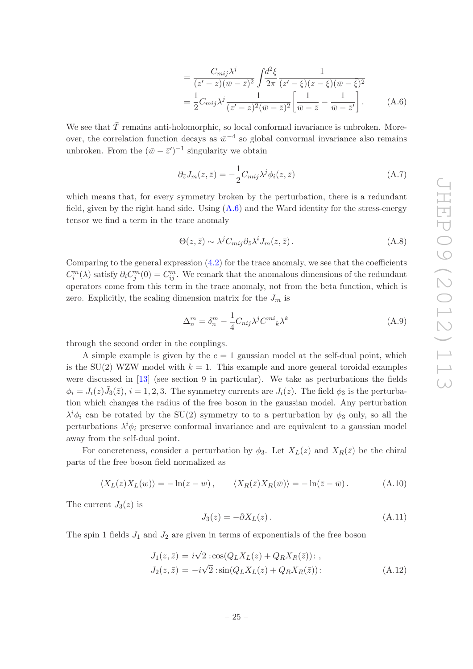<span id="page-25-0"></span>
$$
= \frac{C_{mij}\lambda^j}{(z'-z)(\bar{w}-\bar{z})^2} \int \frac{d^2\xi}{2\pi} \frac{1}{(z'-\xi)(z-\xi)(\bar{w}-\bar{\xi})^2}
$$
  
=  $\frac{1}{2}C_{mij}\lambda^j \frac{1}{(z'-z)^2(\bar{w}-\bar{z})^2} \left[\frac{1}{\bar{w}-\bar{z}}-\frac{1}{\bar{w}-\bar{z}'}\right].$  (A.6)

We see that  $\bar{T}$  remains anti-holomorphic, so local conformal invariance is unbroken. Moreover, the correlation function decays as  $\bar{w}^{-4}$  so global convormal invariance also remains unbroken. From the  $(\bar{w} - \bar{z}')^{-1}$  singularity we obtain

<span id="page-25-1"></span>
$$
\partial_{\bar{z}} J_m(z,\bar{z}) = -\frac{1}{2} C_{mij} \lambda^j \phi_i(z,\bar{z}) \tag{A.7}
$$

which means that, for every symmetry broken by the perturbation, there is a redundant field, given by the right hand side. Using  $(A.6)$  and the Ward identity for the stress-energy tensor we find a term in the trace anomaly

$$
\Theta(z,\bar{z}) \sim \lambda^j C_{mij} \partial_{\bar{z}} \lambda^i J_m(z,\bar{z}) \,. \tag{A.8}
$$

Comparing to the general expression  $(4.2)$  for the trace anomaly, we see that the coefficients  $C_i^m(\lambda)$  satisfy  $\partial_i C_j^m(0) = C_{ij}^m$ . We remark that the anomalous dimensions of the redundant operators come from this term in the trace anomaly, not from the beta function, which is zero. Explicitly, the scaling dimension matrix for the  $J_m$  is

<span id="page-25-2"></span>
$$
\Delta_n^m = \delta_n^m - \frac{1}{4} C_{nij} \lambda^j C^{mi}{}_{k} \lambda^k \tag{A.9}
$$

through the second order in the couplings.

A simple example is given by the  $c = 1$  gaussian model at the self-dual point, which is the  $SU(2)$  WZW model with  $k = 1$ . This example and more general toroidal examples were discussed in [\[13\]](#page-37-2) (see section 9 in particular). We take as perturbations the fields  $\phi_i = J_i(z)\bar{J}_3(\bar{z}), i = 1, 2, 3$ . The symmetry currents are  $J_i(z)$ . The field  $\phi_3$  is the perturbation which changes the radius of the free boson in the gaussian model. Any perturbation  $\lambda^i \phi_i$  can be rotated by the SU(2) symmetry to to a perturbation by  $\phi_3$  only, so all the perturbations  $\lambda^i \phi_i$  preserve conformal invariance and are equivalent to a gaussian model away from the self-dual point.

For concreteness, consider a perturbation by  $\phi_3$ . Let  $X_L(z)$  and  $X_R(\bar{z})$  be the chiral parts of the free boson field normalized as

$$
\langle X_L(z)X_L(w)\rangle = -\ln(z-w)\,,\qquad \langle X_R(\bar{z})X_R(\bar{w})\rangle = -\ln(\bar{z}-\bar{w})\,.
$$
 (A.10)

The current  $J_3(z)$  is

$$
J_3(z) = -\partial X_L(z). \tag{A.11}
$$

The spin 1 fields  $J_1$  and  $J_2$  are given in terms of exponentials of the free boson

$$
J_1(z, \bar{z}) = i\sqrt{2} : \cos(Q_L X_L(z) + Q_R X_R(\bar{z})) : ,
$$
  
\n
$$
J_2(z, \bar{z}) = -i\sqrt{2} : \sin(Q_L X_L(z) + Q_R X_R(\bar{z})) :
$$
\n(A.12)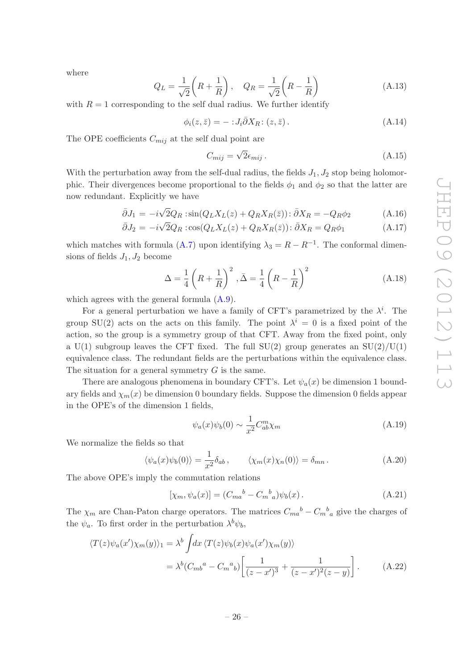where

$$
Q_L = \frac{1}{\sqrt{2}} \left( R + \frac{1}{R} \right), \quad Q_R = \frac{1}{\sqrt{2}} \left( R - \frac{1}{R} \right)
$$
 (A.13)

with  $R = 1$  corresponding to the self dual radius. We further identify

$$
\phi_i(z,\bar{z}) = -\div J_i \bar{\partial} X_R \colon (z,\bar{z})\,. \tag{A.14}
$$

The OPE coefficients  $C_{mij}$  at the self dual point are

$$
C_{mij} = \sqrt{2} \epsilon_{mij} \,. \tag{A.15}
$$

With the perturbation away from the self-dual radius, the fields  $J_1, J_2$  stop being holomorphic. Their divergences become proportional to the fields  $\phi_1$  and  $\phi_2$  so that the latter are now redundant. Explicitly we have

$$
\bar{\partial}J_1 = -i\sqrt{2}Q_R \sin(Q_L X_L(z) + Q_R X_R(\bar{z})) : \bar{\partial}X_R = -Q_R \phi_2 \tag{A.16}
$$

$$
\bar{\partial}J_2 = -i\sqrt{2}Q_R : \cos(Q_L X_L(z) + Q_R X_R(\bar{z})) : \bar{\partial}X_R = Q_R \phi_1 \tag{A.17}
$$

which matches with formula [\(A.7\)](#page-25-1) upon identifying  $\lambda_3 = R - R^{-1}$ . The conformal dimen-

sions of fields 
$$
J_1, J_2
$$
 become  
\n
$$
\Delta = \frac{1}{4} \left( R + \frac{1}{R} \right)^2, \bar{\Delta} = \frac{1}{4} \left( R - \frac{1}{R} \right)^2
$$
\n(A.18)

which agrees with the general formula [\(A.9\)](#page-25-2).

For a general perturbation we have a family of CFT's parametrized by the  $\lambda^i$ . The group SU(2) acts on the acts on this family. The point  $\lambda^{i} = 0$  is a fixed point of the action, so the group is a symmetry group of that CFT. Away from the fixed point, only a U(1) subgroup leaves the CFT fixed. The full  $SU(2)$  group generates an  $SU(2)/U(1)$ equivalence class. The redundant fields are the perturbations within the equivalence class. The situation for a general symmetry  $G$  is the same.

There are analogous phenomena in boundary CFT's. Let  $\psi_a(x)$  be dimension 1 boundary fields and  $\chi_m(x)$  be dimension 0 boundary fields. Suppose the dimension 0 fields appear in the OPE's of the dimension 1 fields,

$$
\psi_a(x)\psi_b(0) \sim \frac{1}{x^2} C_{ab}^m \chi_m \tag{A.19}
$$

We normalize the fields so that

$$
\langle \psi_a(x)\psi_b(0)\rangle = \frac{1}{x^2}\delta_{ab}, \qquad \langle \chi_m(x)\chi_n(0)\rangle = \delta_{mn}.
$$
 (A.20)

The above OPE's imply the commutation relations

<span id="page-26-0"></span>
$$
[\chi_m, \psi_a(x)] = (C_{ma}{}^b - C_m{}^b{}_a) \psi_b(x).
$$
 (A.21)

The  $\chi_m$  are Chan-Paton charge operators. The matrices  $C_{ma}^{\qquad b} - C_{m\,a}^{\qquad b}$  give the charges of the  $\psi_a$ . To first order in the perturbation  $\lambda^b \psi_b$ ,

$$
\langle T(z)\psi_a(x')\chi_m(y)\rangle_1 = \lambda^b \int dx \langle T(z)\psi_b(x)\psi_a(x')\chi_m(y)\rangle
$$
  
= 
$$
\lambda^b (C_{mb}^a - C_m^a)_b \left[ \frac{1}{(z-x')^3} + \frac{1}{(z-x')^2(z-y)} \right].
$$
 (A.22)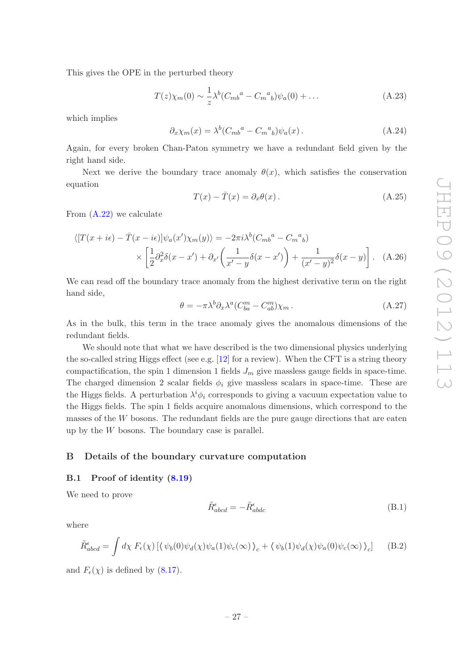This gives the OPE in the perturbed theory

$$
T(z)\chi_m(0) \sim \frac{1}{z}\lambda^b (C_{mb}^a - C_m^a{}_b)\psi_a(0) + \dots
$$
 (A.23)

which implies

$$
\partial_x \chi_m(x) = \lambda^b (C_{mb}^a - C_m^a)_b \psi_a(x). \tag{A.24}
$$

Again, for every broken Chan-Paton symmetry we have a redundant field given by the right hand side.

Next we derive the boundary trace anomaly  $\theta(x)$ , which satisfies the conservation equation

$$
T(x) - \bar{T}(x) = \partial_x \theta(x).
$$
 (A.25)

From [\(A.22\)](#page-26-0) we calculate

$$
\langle [T(x+i\epsilon) - \bar{T}(x-i\epsilon)]\psi_a(x')\chi_m(y) \rangle = -2\pi i \lambda^b (C_{mb}^a - C_m^a)_b
$$
  
 
$$
\times \left[\frac{1}{2}\partial_x^2 \delta(x-x') + \partial_{x'}\left(\frac{1}{x'-y}\delta(x-x')\right) + \frac{1}{(x'-y)^2}\delta(x-y)\right]. \quad (A.26)
$$

We can read o ff the boundary trace anomaly from the highest derivative term on the right hand side,

$$
\theta = -\pi \lambda^b \partial_x \lambda^a (C_{ba}^m - C_{ab}^m) \chi_m \,. \tag{A.27}
$$

As in the bulk, this term in the trace anomaly gives the anomalous dimensions of the redundant fields.

We should note that what we have described is the two dimensional physics underlying the so-called string Higgs e ffect (see e.g. [\[12](#page-37-3)] for a review). When the CFT is a string theory compactification, the spin 1 dimension 1 fields  $J_m$  give massless gauge fields in space-time. The charged dimension 2 scalar fields  $\phi_i$  give massless scalars in space-time. These are the Higgs fields. A perturbation  $\lambda^i \phi_i$  corresponds to giving a vacuum expectation value to the Higgs fields. The spin 1 fields acquire anomalous dimensions, which correspond to the masses of the W bosons. The redundant fields are the pure gauge directions that are eaten up by the W bosons. The boundary case is parallel.

### <span id="page-27-1"></span><span id="page-27-0"></span>B Details of the boundary curvature computation

### B.1 Proof of identity  $(8.19)$  $(8.19)$

We need to prove

$$
\tilde{R}^{\epsilon}_{abcd} = -\tilde{R}^{\epsilon}_{abdc} \tag{B.1}
$$

where

$$
\tilde{R}^{\epsilon}_{abcd} = \int d\chi \ F_{\epsilon}(\chi) \left[ \langle \psi_b(0)\psi_a(\chi)\psi_a(1)\psi_c(\infty) \rangle_c + \langle \psi_b(1)\psi_d(\chi)\psi_a(0)\psi_c(\infty) \rangle_c \right] \tag{B.2}
$$

and  $F_{\epsilon}(\chi)$  is defined by [\(8.17\)](#page-16-3).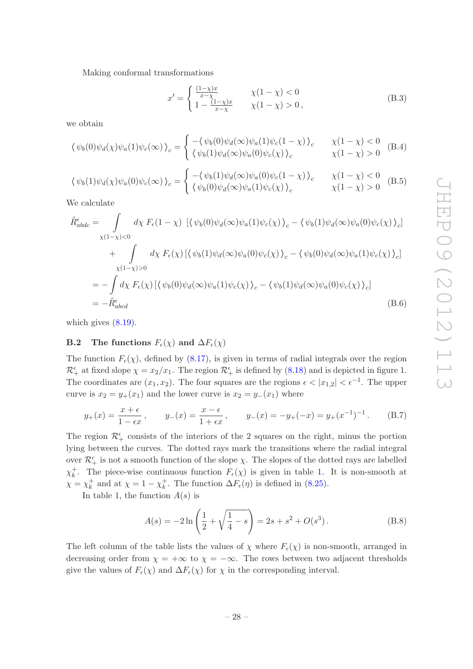Making conformal transformations

$$
x' = \begin{cases} \frac{(1-\chi)x}{x-\chi} & \chi(1-\chi) < 0\\ 1 - \frac{(1-\chi)x}{x-\chi} & \chi(1-\chi) > 0, \end{cases}
$$
(B.3)

we obtain

$$
\langle \psi_b(0)\psi_d(\chi)\psi_a(1)\psi_c(\infty)\rangle_c = \begin{cases} -\langle \psi_b(0)\psi_d(\infty)\psi_a(1)\psi_c(1-\chi)\rangle_c & \chi(1-\chi) < 0\\ \langle \psi_b(1)\psi_d(\infty)\psi_a(0)\psi_c(\chi)\rangle_c & \chi(1-\chi) > 0 \end{cases}
$$
(B.4)

$$
\langle \psi_b(1)\psi_d(\chi)\psi_a(0)\psi_c(\infty)\rangle_c = \begin{cases} -\langle \psi_b(1)\psi_d(\infty)\psi_a(0)\psi_c(1-\chi)\rangle_c & \chi(1-\chi) < 0\\ \langle \psi_b(0)\psi_d(\infty)\psi_a(1)\psi_c(\chi)\rangle_c & \chi(1-\chi) > 0 \end{cases}
$$
(B.5)

We calculate

$$
\tilde{R}_{abdc}^{\epsilon} = \int d\chi F_{\epsilon}(1-\chi) \left[ \langle \psi_b(0)\psi_a(\infty)\psi_a(1)\psi_c(\chi) \rangle_c - \langle \psi_b(1)\psi_d(\infty)\psi_a(0)\psi_c(\chi) \rangle_c \right] \n+ \int d\chi F_{\epsilon}(\chi) \left[ \langle \psi_b(1)\psi_d(\infty)\psi_a(0)\psi_c(\chi) \rangle_c - \langle \psi_b(0)\psi_d(\infty)\psi_a(1)\psi_c(\chi) \rangle_c \right] \n= - \int d\chi F_{\epsilon}(\chi) \left[ \langle \psi_b(0)\psi_d(\infty)\psi_a(1)\psi_c(\chi) \rangle_c - \langle \psi_b(1)\psi_d(\infty)\psi_a(0)\psi_c(\chi) \rangle_c \right] \n= - \tilde{R}_{abcd}^{\epsilon}
$$
\n(B.6)

<span id="page-28-0"></span>which gives  $(8.19)$ .

### **B.2** The functions  $F_{\epsilon}(\chi)$  and  $\Delta F_{\epsilon}(\chi)$

The function  $F_{\epsilon}(\chi)$ , defined by [\(8.17\)](#page-16-3), is given in terms of radial integrals over the region  $\mathcal{R}_+^{\epsilon}$  at fixed slope  $\chi = x_2/x_1$ . The region  $\mathcal{R}_+^{\epsilon}$  is defined by [\(8.18\)](#page-17-3) and is depicted in figure 1. The coordinates are  $(x_1, x_2)$ . The four squares are the regions  $\epsilon < |x_{1,2}| < \epsilon^{-1}$ . The upper curve is  $x_2 = y_+(x_1)$  and the lower curve is  $x_2 = y_-(x_1)$  where

$$
y_{+}(x) = \frac{x + \epsilon}{1 - \epsilon x}
$$
,  $y_{-}(x) = \frac{x - \epsilon}{1 + \epsilon x}$ ,  $y_{-}(x) = -y_{+}(-x) = y_{+}(x^{-1})^{-1}$ . (B.7)

The region  $\mathcal{R}_{+}^{\epsilon}$  consists of the interiors of the 2 squares on the right, minus the portion lying between the curves. The dotted rays mark the transitions where the radial integral over  $\mathcal{R}_+^{\epsilon}$  is not a smooth function of the slope  $\chi$ . The slopes of the dotted rays are labelled  $\chi_k^+$ . The piece-wise continuous function  $F_{\epsilon}(\chi)$  is given in table [1.](#page-30-0) It is non-smooth at  $\chi = \chi_k^+$  and at  $\chi = 1 - \chi_k^+$ . The function  $\Delta F_{\epsilon}(\eta)$  is defined in [\(8.25\)](#page-17-4).

In table 1, the function  $A(s)$  is

$$
A(s) = -2\ln\left(\frac{1}{2} + \sqrt{\frac{1}{4} - s}\right) = 2s + s^2 + O(s^3).
$$
 (B.8)

The left column of the table lists the values of  $\chi$  where  $F_{\epsilon}(\chi)$  is non-smooth, arranged in decreasing order from  $\chi = +\infty$  to  $\chi = -\infty$ . The rows between two adjacent thresholds give the values of  $F_{\epsilon}(\chi)$  and  $\Delta F_{\epsilon}(\chi)$  for  $\chi$  in the corresponding interval.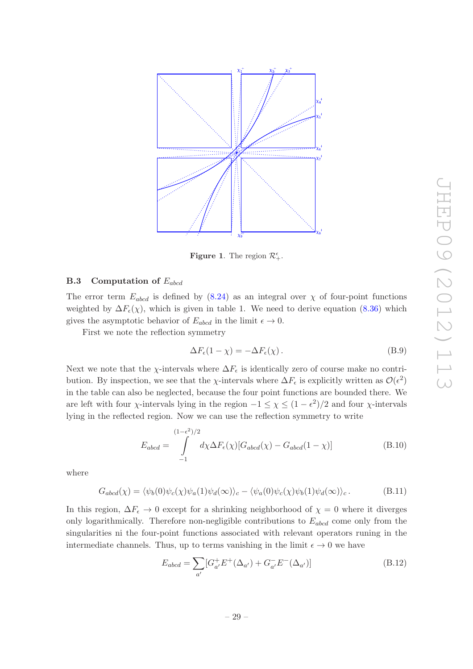

Figure 1. The region  $\mathcal{R}^{\epsilon}_+$ .

### <span id="page-29-0"></span> $\, {\bf B.3} \quad {\bf Computation \ of} \ E_{abcd} \,$

The error term  $E_{abcd}$  is defined by  $(8.24)$  as an integral over  $\chi$  of four-point functions weighted by  $\Delta F_{\epsilon}(\chi)$ , which is given in table 1. We need to derive equation [\(8.36\)](#page-18-1) which gives the asymptotic behavior of  $E_{abcd}$  in the limit  $\epsilon \to 0$ .

First we note the reflection symmetry

$$
\Delta F_{\epsilon}(1 - \chi) = -\Delta F_{\epsilon}(\chi). \tag{B.9}
$$

Next we note that the  $\chi$ -intervals where  $\Delta F_{\epsilon}$  is identically zero of course make no contribution. By inspection, we see that the  $\chi$ -intervals where  $\Delta F_{\epsilon}$  is explicitly written as  $\mathcal{O}(\epsilon^2)$ in the table can also be neglected, because the four point functions are bounded there. We are left with four  $\chi$ -intervals lying in the region  $-1 \leq \chi \leq (1 - \epsilon^2)/2$  and four  $\chi$ -intervals lying in the reflected region. Now we can use the reflection symmetry to write

$$
E_{abcd} = \int_{-1}^{(1-\epsilon^2)/2} d\chi \Delta F_{\epsilon}(\chi) [G_{abcd}(\chi) - G_{abcd}(1-\chi)] \tag{B.10}
$$

where

$$
G_{abcd}(\chi) = \langle \psi_b(0)\psi_c(\chi)\psi_a(1)\psi_d(\infty)\rangle_c - \langle \psi_a(0)\psi_c(\chi)\psi_b(1)\psi_d(\infty)\rangle_c.
$$
 (B.11)

In this region,  $\Delta F_{\epsilon} \to 0$  except for a shrinking neighborhood of  $\chi = 0$  where it diverges only logarithmically. Therefore non-negligible contributions to  $E_{abcd}$  come only from the singularities ni the four-point functions associated with relevant operators runing in the intermediate channels. Thus, up to terms vanishing in the limit  $\epsilon \to 0$  we have

$$
E_{abcd} = \sum_{a'} [G_{a'}^+ E^+ (\Delta_{a'}) + G_{a'}^- E^- (\Delta_{a'})]
$$
(B.12)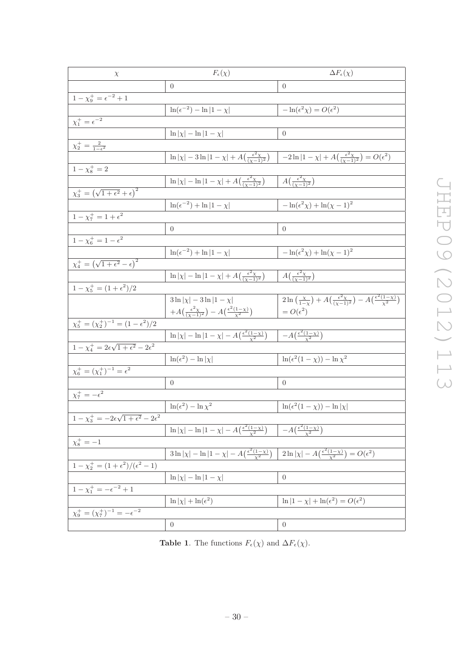| $\chi$                                                         | $F_{\epsilon}(\chi)$                                                                                                                                                     | $\Delta F_{\epsilon}(\chi)$                                                                                                                          |  |  |
|----------------------------------------------------------------|--------------------------------------------------------------------------------------------------------------------------------------------------------------------------|------------------------------------------------------------------------------------------------------------------------------------------------------|--|--|
|                                                                | $\overline{0}$                                                                                                                                                           | $\boldsymbol{0}$                                                                                                                                     |  |  |
| $1 - \chi_9^+ = \epsilon^{-2} + 1$                             |                                                                                                                                                                          |                                                                                                                                                      |  |  |
|                                                                | $\ln(\epsilon^{-2}) - \ln 1-\chi $                                                                                                                                       | $-\ln(\epsilon^2 \chi) = O(\epsilon^2)$                                                                                                              |  |  |
| $\chi_1^+ = \epsilon^{-2}$                                     |                                                                                                                                                                          |                                                                                                                                                      |  |  |
|                                                                | $\ln \chi -\ln 1-\chi $                                                                                                                                                  | $\boldsymbol{0}$                                                                                                                                     |  |  |
| $\chi_2^+=\frac{2}{1-\epsilon^2}$                              |                                                                                                                                                                          |                                                                                                                                                      |  |  |
|                                                                | $\ln  \chi  - 3 \ln  1 - \chi  + A\left(\frac{\epsilon^2 \chi}{(\chi - 1)^2}\right)$                                                                                     | $\Big -2\ln 1-\chi +A\left(\frac{\epsilon^2\chi}{(\chi-1)^2}\right)=O(\epsilon^2)$                                                                   |  |  |
| $1 - \chi_8^+ = 2$                                             |                                                                                                                                                                          |                                                                                                                                                      |  |  |
|                                                                | $\ln  \chi  - \ln  1 - \chi  + A\left(\frac{\epsilon^2 \chi}{(\chi - 1)^2}\right)$                                                                                       | $A\left(\frac{\epsilon^2 \chi}{(\chi-1)^2}\right)$                                                                                                   |  |  |
| $\chi_3^+ = \left(\sqrt{1+\epsilon^2}+\epsilon\right)^2$       |                                                                                                                                                                          |                                                                                                                                                      |  |  |
|                                                                | $\ln(\epsilon^{-2}) + \ln 1-\chi $                                                                                                                                       | $-\ln(\epsilon^2 \chi) + \ln(\chi - 1)^2$                                                                                                            |  |  |
| $1 - \chi_7^+ = 1 + \epsilon^2$                                |                                                                                                                                                                          |                                                                                                                                                      |  |  |
|                                                                | $\overline{0}$                                                                                                                                                           | $\boldsymbol{0}$                                                                                                                                     |  |  |
| $1 - \chi_6^+ = 1 - \epsilon^2$                                |                                                                                                                                                                          |                                                                                                                                                      |  |  |
|                                                                | $\ln(\epsilon^{-2}) + \ln 1-\chi $                                                                                                                                       | $-\ln(\epsilon^2 \chi) + \ln(\chi - 1)^2$                                                                                                            |  |  |
| $\chi_4^+ = \left(\sqrt{1+\epsilon^2}-\epsilon\right)^2$       |                                                                                                                                                                          |                                                                                                                                                      |  |  |
|                                                                | $\ln  \chi  - \ln  1 - \chi  + A\left(\frac{\epsilon^2 \chi}{(\chi - 1)^2}\right)$                                                                                       | $A\left(\frac{\epsilon^2 \chi}{(\chi-1)^2}\right)$                                                                                                   |  |  |
| $1 - \chi_5^+ = (1 + \epsilon^2)/2$                            |                                                                                                                                                                          |                                                                                                                                                      |  |  |
|                                                                | $3 \ln  \chi  - 3 \ln  1 - \chi $                                                                                                                                        | $\frac{2\ln\left(\frac{\chi}{1-\chi}\right)}{x} + A\left(\frac{\epsilon^2\chi}{(\chi-1)^2}\right) - A\left(\frac{\epsilon^2(1-\chi)}{\chi^2}\right)$ |  |  |
|                                                                | $+A\left(\frac{\epsilon^2\chi}{(\gamma-1)^2}\right)-A\left(\frac{\epsilon^2(1-\chi)}{\chi^2}\right)$                                                                     | $=O(\epsilon^2)$                                                                                                                                     |  |  |
| $\chi_5^+ = (\chi_2^+)^{-1} = (1 - \epsilon^2)/2$              |                                                                                                                                                                          |                                                                                                                                                      |  |  |
|                                                                | $\ln  \chi  - \ln  1 - \chi  - A\left(\frac{\epsilon^2(1-\chi)}{\chi^2}\right)$                                                                                          | $-A\left(\frac{\epsilon^2(1-\chi)}{\chi^2}\right)$                                                                                                   |  |  |
| $1-\chi_4^+=2\epsilon\sqrt{1+\epsilon^2}-2\epsilon^2$          |                                                                                                                                                                          |                                                                                                                                                      |  |  |
|                                                                | $\ln(\epsilon^2) - \ln  \chi $                                                                                                                                           | $\ln(\epsilon^2(1-\chi)) - \ln \chi^2$                                                                                                               |  |  |
| $\chi_6^+ = (\chi_1^+)^{-1} = \epsilon^2$                      |                                                                                                                                                                          |                                                                                                                                                      |  |  |
|                                                                | $\overline{0}$                                                                                                                                                           | $\boldsymbol{0}$                                                                                                                                     |  |  |
| $\chi^+_7=-\epsilon^2$                                         |                                                                                                                                                                          |                                                                                                                                                      |  |  |
|                                                                | $\ln(\epsilon^2) - \ln \chi^2$                                                                                                                                           | $\ln(\epsilon^2(1-\chi)) - \ln \chi $                                                                                                                |  |  |
| $1 - \chi_3^+ = -2\epsilon\sqrt{1 + \epsilon^2 - 2\epsilon^2}$ |                                                                                                                                                                          |                                                                                                                                                      |  |  |
|                                                                | $\ln  \chi  - \ln  1 - \chi  - A\left(\frac{\epsilon^2(1-\chi)}{\chi^2}\right) \quad - A\left(\frac{\epsilon^2(1-\chi)}{\chi^2}\right)$                                  |                                                                                                                                                      |  |  |
| $\chi_{8}^{+} = -1$                                            |                                                                                                                                                                          |                                                                                                                                                      |  |  |
|                                                                | $3\ln \chi  - \ln 1 - \overline{\chi  - A\left(\frac{\epsilon^2(1-\chi)}{\chi^2}\right)}\  2\ln \chi  - A\left(\frac{\epsilon^2(1-\chi)}{\chi^2}\right) = O(\epsilon^2)$ |                                                                                                                                                      |  |  |
| $1 - \chi_2^+ = (1 + \epsilon^2)/(\epsilon^2 - 1)$             |                                                                                                                                                                          |                                                                                                                                                      |  |  |
|                                                                | $\ln  \chi  - \ln  1 - \chi $                                                                                                                                            | $\theta$                                                                                                                                             |  |  |
| $\overline{1 - \chi_1^+} = -\epsilon^{-2} + 1$                 |                                                                                                                                                                          |                                                                                                                                                      |  |  |
|                                                                | $\ln  \chi  + \ln (\epsilon^2)$                                                                                                                                          | $\ln 1-\chi +\ln(\epsilon^2)=O(\epsilon^2)$                                                                                                          |  |  |
| $\chi_9^+ = (\chi_7^+)^{-1} = -\epsilon^{-2}$                  |                                                                                                                                                                          |                                                                                                                                                      |  |  |
|                                                                | $\boldsymbol{0}$                                                                                                                                                         | $\boldsymbol{0}$                                                                                                                                     |  |  |

<span id="page-30-0"></span>**Table 1.** The functions  $F_{\epsilon}(\chi)$  and  $\Delta F_{\epsilon}(\chi)$ .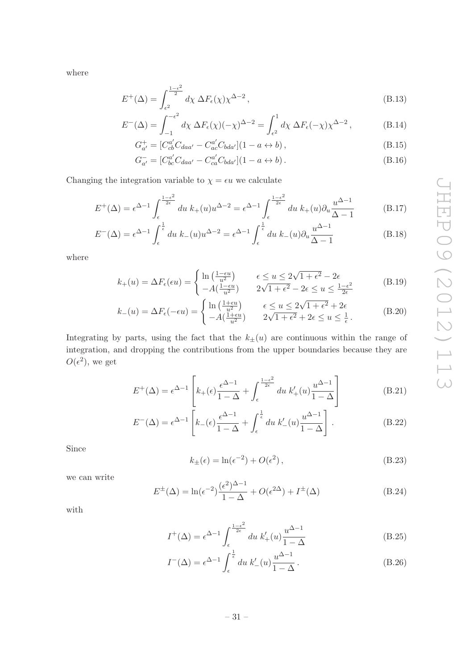where

$$
E^{+}(\Delta) = \int_{\epsilon^2}^{\frac{1-\epsilon^2}{2}} d\chi \ \Delta F_{\epsilon}(\chi) \chi^{\Delta-2} , \qquad (B.13)
$$

$$
E^{-}(\Delta) = \int_{-1}^{-\epsilon^2} d\chi \ \Delta F_{\epsilon}(\chi)(-\chi)^{\Delta-2} = \int_{\epsilon^2}^{1} d\chi \ \Delta F_{\epsilon}(-\chi)\chi^{\Delta-2}, \tag{B.14}
$$

$$
G_{a'}^+ = [C_{cb}^{a'} C_{daa'} - C_{ac}^{a'} C_{bda'}](1 - a \leftrightarrow b), \qquad (B.15)
$$

$$
G_{a'}^- = [C_{bc}^{a'} C_{daa'} - C_{ca}^{a'} C_{bda'}](1 - a \leftrightarrow b).
$$
 (B.16)

Changing the integration variable to  $\chi = \epsilon u$  we calculate

$$
E^{+}(\Delta) = \epsilon^{\Delta - 1} \int_{\epsilon}^{\frac{1 - \epsilon^2}{2\epsilon}} du \, k_{+}(u) u^{\Delta - 2} = \epsilon^{\Delta - 1} \int_{\epsilon}^{\frac{1 - \epsilon^2}{2\epsilon}} du \, k_{+}(u) \partial_u \frac{u^{\Delta - 1}}{\Delta - 1}
$$
(B.17)

$$
E^{-}(\Delta) = \epsilon^{\Delta - 1} \int_{\epsilon}^{\frac{1}{\epsilon}} du \ k_{-}(u)u^{\Delta - 2} = \epsilon^{\Delta - 1} \int_{\epsilon}^{\frac{1}{\epsilon}} du \ k_{-}(u)\partial_{u} \frac{u^{\Delta - 1}}{\Delta - 1}
$$
(B.18)

where

$$
k_{+}(u) = \Delta F_{\epsilon}(\epsilon u) = \begin{cases} \ln\left(\frac{1-\epsilon u}{u^{2}}\right) & \epsilon \le u \le 2\sqrt{1+\epsilon^{2}} - 2\epsilon\\ -A(\frac{1-\epsilon u}{u^{2}}) & 2\sqrt{1+\epsilon^{2}} - 2\epsilon \le u \le \frac{1-\epsilon^{2}}{2\epsilon} \end{cases}
$$
(B.19)

$$
k_{-}(u) = \Delta F_{\epsilon}(-\epsilon u) = \begin{cases} \ln\left(\frac{1+\epsilon u}{u^{2}}\right) & \epsilon \le u \le 2\sqrt{1+\epsilon^{2}} + 2\epsilon \\ -A(\frac{1+\epsilon u}{u^{2}}) & 2\sqrt{1+\epsilon^{2}} + 2\epsilon \le u \le \frac{1}{\epsilon} \end{cases}
$$
(B.20)

Integrating by parts, using the fact that the  $k_{\pm}(u)$  are continuous within the range of integration, and dropping the contributions from the upper boundaries because they are  $O(\epsilon^2)$ , we get

$$
E^{+}(\Delta) = \epsilon^{\Delta - 1} \left[ k_{+}(\epsilon) \frac{\epsilon^{\Delta - 1}}{1 - \Delta} + \int_{\epsilon}^{\frac{1 - \epsilon^{2}}{2\epsilon}} du \ k'_{+}(u) \frac{u^{\Delta - 1}}{1 - \Delta} \right]
$$
(B.21)

$$
E^{-}(\Delta) = \epsilon^{\Delta - 1} \left[ k_{-}(\epsilon) \frac{\epsilon^{\Delta - 1}}{1 - \Delta} + \int_{\epsilon}^{\frac{1}{\epsilon}} du \ k'_{-}(u) \frac{u^{\Delta - 1}}{1 - \Delta} \right].
$$
 (B.22)

Since

$$
k_{\pm}(\epsilon) = \ln(\epsilon^{-2}) + O(\epsilon^2), \qquad (B.23)
$$

we can write

$$
E^{\pm}(\Delta) = \ln(\epsilon^{-2}) \frac{(\epsilon^2)^{\Delta - 1}}{1 - \Delta} + O(\epsilon^{2\Delta}) + I^{\pm}(\Delta)
$$
 (B.24)

with

$$
I^{+}(\Delta) = \epsilon^{\Delta - 1} \int_{\epsilon}^{\frac{1 - \epsilon^2}{2\epsilon}} du \, k'_{+}(u) \frac{u^{\Delta - 1}}{1 - \Delta}
$$
 (B.25)

$$
I^{-}(\Delta) = \epsilon^{\Delta - 1} \int_{\epsilon}^{\frac{1}{\epsilon}} du \, k'_{-}(u) \frac{u^{\Delta - 1}}{1 - \Delta} \,. \tag{B.26}
$$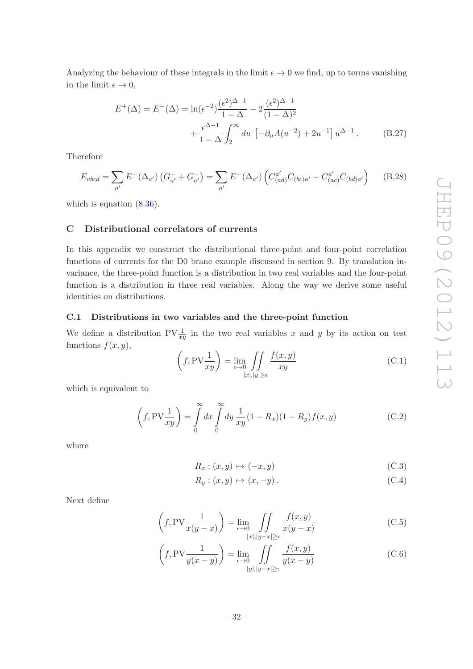Analyzing the behaviour of these integrals in the limit  $\epsilon \to 0$  we find, up to terms vanishing in the limit  $\epsilon \to 0$ ,

$$
E^{+}(\Delta) = E^{-}(\Delta) = \ln(\epsilon^{-2}) \frac{(\epsilon^{2})^{\Delta - 1}}{1 - \Delta} - 2 \frac{(\epsilon^{2})^{\Delta - 1}}{(1 - \Delta)^{2}} + \frac{\epsilon^{\Delta - 1}}{1 - \Delta} \int_{2}^{\infty} du \, \left[ -\partial_{u} A(u^{-2}) + 2u^{-1} \right] u^{\Delta - 1}.
$$
 (B.27)

Therefore

$$
E_{abcd} = \sum_{a'} E^+(\Delta_{a'}) \left( G^+_{a'} + G^-_{a'} \right) = \sum_{a'} E^+(\Delta_{a'}) \left( C^{a'}_{(ad)} C_{(bc)a'} - C^{a'}_{(ac)} C_{(bd)a'} \right) \tag{B.28}
$$

<span id="page-32-0"></span>which is equation  $(8.36)$ .

### C Distributional correlators of currents

In this appendix we construct the distributional three-point and four-point correlation functions of currents for the D0 brane example discussed in section [9.](#page-19-0) By translation invariance, the three-point function is a distribution in two real variables and the four-point function is a distribution in three real variables. Along the way we derive some useful identities on distributions.

### <span id="page-32-1"></span>C.1 Distributions in two variables and the three-point function

We define a distribution  $PV\frac{1}{r^2}$  $\frac{1}{xy}$  in the two real variables x and y by its action on test functions  $f(x, y)$ ,

$$
\left(f, \text{PV}\frac{1}{xy}\right) = \lim_{\epsilon \to 0} \iint_{|x|, |y| \ge \epsilon} \frac{f(x, y)}{xy}
$$
\n(C.1)

which is equivalent to

$$
\left(f, \text{PV}\frac{1}{xy}\right) = \int\limits_0^\infty dx \int\limits_0^\infty dy \frac{1}{xy} (1 - R_x)(1 - R_y)f(x, y) \tag{C.2}
$$

where

$$
R_x: (x, y) \mapsto (-x, y) \tag{C.3}
$$

$$
R_y: (x, y) \mapsto (x, -y). \tag{C.4}
$$

Next define

$$
\left(f, \text{PV}\frac{1}{x(y-x)}\right) = \lim_{\epsilon \to 0} \iint_{\substack{|x|, |y-x| \ge \epsilon}} \frac{f(x,y)}{x(y-x)}\tag{C.5}
$$

$$
\left(f, \text{PV}\frac{1}{y(x-y)}\right) = \lim_{\epsilon \to 0} \iint_{\substack{|y|, |y-x| \ge \epsilon}} \frac{f(x,y)}{y(x-y)}\tag{C.6}
$$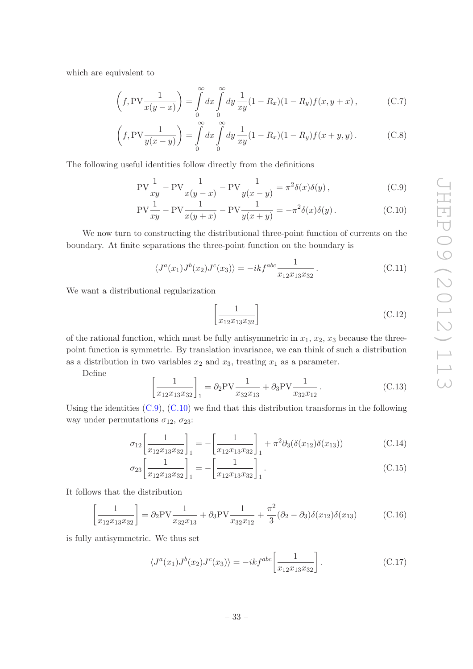which are equivalent to

$$
\left(f, \text{PV}\frac{1}{x(y-x)}\right) = \int_{0}^{\infty} dx \int_{0}^{\infty} dy \frac{1}{xy} (1 - R_x)(1 - R_y) f(x, y+x), \tag{C.7}
$$

$$
\left(f, \text{PV}\frac{1}{y(x-y)}\right) = \int_{0}^{\infty} dx \int_{0}^{\infty} dy \frac{1}{xy} (1 - R_x)(1 - R_y) f(x+y, y).
$$
 (C.8)

The following useful identities follow directly from the definitions

$$
PV\frac{1}{xy} - PV\frac{1}{x(y-x)} - PV\frac{1}{y(x-y)} = \pi^2 \delta(x)\delta(y),
$$
 (C.9)

$$
PV\frac{1}{xy} - PV\frac{1}{x(y+x)} - PV\frac{1}{y(x+y)} = -\pi^2 \delta(x)\delta(y).
$$
 (C.10)

We now turn to constructing the distributional three-point function of currents on the boundary. At finite separations the three-point function on the boundary is

$$
\langle J^{a}(x_1)J^{b}(x_2)J^{c}(x_3)\rangle = -ikf^{abc}\frac{1}{x_{12}x_{13}x_{32}}.
$$
 (C.11)

We want a distributional regularization

<span id="page-33-2"></span><span id="page-33-1"></span>
$$
\left[\frac{1}{x_{12}x_{13}x_{32}}\right]
$$
\n(C.12)

of the rational function, which must be fully antisymmetric in  $x_1, x_2, x_3$  because the threepoint function is symmetric. By translation invariance, we can think of such a distribution as a distribution in two variables  $x_2$  and  $x_3$ , treating  $x_1$  as a parameter.

Define

$$
\left[\frac{1}{x_{12}x_{13}x_{32}}\right]_1 = \partial_2 PV \frac{1}{x_{32}x_{13}} + \partial_3 PV \frac{1}{x_{32}x_{12}}.
$$
 (C.13)

Using the identities  $(C.9)$ ,  $(C.10)$  we find that this distribution transforms in the following way under permutations  $\sigma_{12}$ ,  $\sigma_{23}$ :

$$
\sigma_{12} \left[ \frac{1}{x_{12} x_{13} x_{32}} \right]_1 = - \left[ \frac{1}{x_{12} x_{13} x_{32}} \right]_1 + \pi^2 \partial_3 (\delta(x_{12}) \delta(x_{13})) \tag{C.14}
$$

$$
\sigma_{23} \left[ \frac{1}{x_{12} x_{13} x_{32}} \right]_1 = - \left[ \frac{1}{x_{12} x_{13} x_{32}} \right]_1.
$$
\n(C.15)

It follows that the distribution

$$
\left[\frac{1}{x_{12}x_{13}x_{32}}\right] = \partial_2 PV \frac{1}{x_{32}x_{13}} + \partial_3 PV \frac{1}{x_{32}x_{12}} + \frac{\pi^2}{3} (\partial_2 - \partial_3) \delta(x_{12}) \delta(x_{13})
$$
(C.16)

is fully antisymmetric. We thus set

<span id="page-33-0"></span>
$$
\langle J^{a}(x_{1})J^{b}(x_{2})J^{c}(x_{3})\rangle = -ikf^{abc}\left[\frac{1}{x_{12}x_{13}x_{32}}\right].
$$
 (C.17)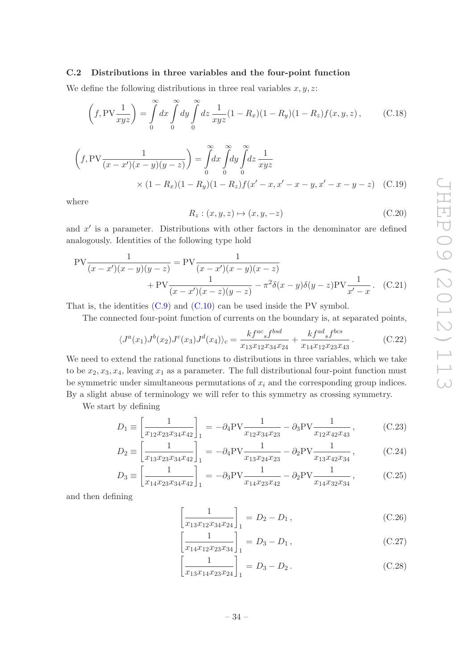### <span id="page-34-0"></span>C.2 Distributions in three variables and the four-point function

We define the following distributions in three real variables  $x, y, z$ :

$$
\left(f, \text{PV}\frac{1}{xyz}\right) = \int\limits_0^\infty dx \int\limits_0^\infty dy \int\limits_0^\infty dz \frac{1}{xyz} (1 - R_x)(1 - R_y)(1 - R_z)f(x, y, z), \tag{C.18}
$$

$$
\left(f, \text{PV}\frac{1}{(x-x')(x-y)(y-z)}\right) = \int_{0}^{\infty} dx \int_{0}^{\infty} dy \int_{0}^{\infty} dz \frac{1}{xyz} \times (1 - R_x)(1 - R_y)(1 - R_z)f(x' - x, x' - x - y, x' - x - y - z) \tag{C.19}
$$

where

$$
R_z : (x, y, z) \mapsto (x, y, -z) \tag{C.20}
$$

and  $x'$  is a parameter. Distributions with other factors in the denominator are defined analogously. Identities of the following type hold

$$
PV \frac{1}{(x - x')(x - y)(y - z)} = PV \frac{1}{(x - x')(x - y)(x - z)} + PV \frac{1}{(x - x')(x - z)(y - z)} - \pi^2 \delta(x - y) \delta(y - z) PV \frac{1}{x' - x}.
$$
 (C.21)

That is, the identities [\(C.9\)](#page-33-1) and [\(C.10\)](#page-33-2) can be used inside the PV symbol.

The connected four-point function of currents on the boundary is, at separated points,

<span id="page-34-1"></span>
$$
\langle J^a(x_1)J^b(x_2)J^c(x_3)J^d(x_4)\rangle_c = \frac{k f^{ac}{}_{s} f^{bsd}}{x_{13}x_{12}x_{34}x_{24}} + \frac{k f^{ad}{}_{s} f^{bcs}}{x_{14}x_{12}x_{23}x_{43}}.\tag{C.22}
$$

We need to extend the rational functions to distributions in three variables, which we take to be  $x_2, x_3, x_4$ , leaving  $x_1$  as a parameter. The full distributional four-point function must be symmetric under simultaneous permutations of  $x_i$  and the corresponding group indices. By a slight abuse of terminology we will refer to this symmetry as crossing symmetry.

We start by defining

$$
D_1 \equiv \left[\frac{1}{x_{12}x_{23}x_{34}x_{42}}\right]_1 = -\partial_4 \text{PV} \frac{1}{x_{12}x_{34}x_{23}} - \partial_3 \text{PV} \frac{1}{x_{12}x_{42}x_{43}},\tag{C.23}
$$

$$
D_2 \equiv \left[\frac{1}{x_{13}x_{23}x_{34}x_{42}}\right]_1 = -\partial_4 \text{PV} \frac{1}{x_{13}x_{24}x_{23}} - \partial_2 \text{PV} \frac{1}{x_{13}x_{42}x_{34}},\tag{C.24}
$$

$$
D_3 \equiv \left[\frac{1}{x_{14}x_{23}x_{34}x_{42}}\right]_1 = -\partial_3 \text{PV} \frac{1}{x_{14}x_{23}x_{42}} - \partial_2 \text{PV} \frac{1}{x_{14}x_{32}x_{34}},\tag{C.25}
$$

and then defining

$$
\left[\frac{1}{x_{13}x_{12}x_{34}x_{24}}\right]_1 = D_2 - D_1, \qquad (C.26)
$$

$$
\left[\frac{1}{x_{14}x_{12}x_{23}x_{34}}\right]_1 = D_3 - D_1, \qquad (C.27)
$$

$$
\left[\frac{1}{x_{13}x_{14}x_{23}x_{24}}\right]_1 = D_3 - D_2.
$$
\n(C.28)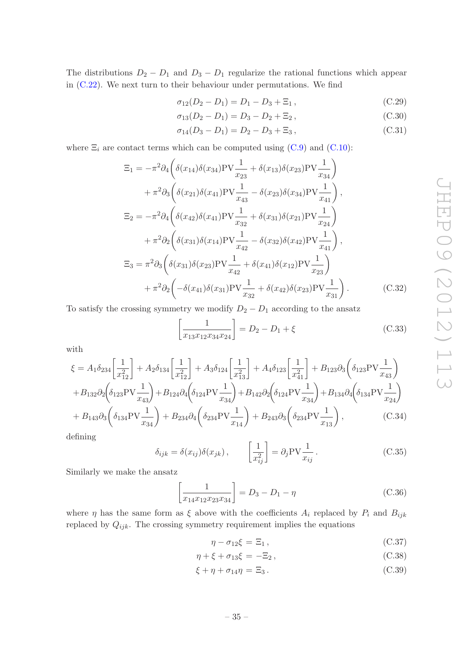The distributions  $D_2 - D_1$  and  $D_3 - D_1$  regularize the rational functions which appear in [\(C.22\)](#page-34-1). We next turn to their behaviour under permutations. We find

$$
\sigma_{12}(D_2 - D_1) = D_1 - D_3 + \Xi_1, \qquad (C.29)
$$

$$
\sigma_{13}(D_2 - D_1) = D_3 - D_2 + \Xi_2, \qquad (C.30)
$$

$$
\sigma_{14}(D_3 - D_1) = D_2 - D_3 + \Xi_3, \qquad (C.31)
$$

where  $\Xi_i$  are contact terms which can be computed using [\(C.9\)](#page-33-1) and [\(C.10\)](#page-33-2):

$$
\Xi_{1} = -\pi^{2} \partial_{4} \left( \delta(x_{14}) \delta(x_{34}) \text{PV} \frac{1}{x_{23}} + \delta(x_{13}) \delta(x_{23}) \text{PV} \frac{1}{x_{34}} \right) \n+ \pi^{2} \partial_{3} \left( \delta(x_{21}) \delta(x_{41}) \text{PV} \frac{1}{x_{43}} - \delta(x_{23}) \delta(x_{34}) \text{PV} \frac{1}{x_{41}} \right), \n\Xi_{2} = -\pi^{2} \partial_{4} \left( \delta(x_{42}) \delta(x_{41}) \text{PV} \frac{1}{x_{32}} + \delta(x_{31}) \delta(x_{21}) \text{PV} \frac{1}{x_{24}} \right) \n+ \pi^{2} \partial_{2} \left( \delta(x_{31}) \delta(x_{14}) \text{PV} \frac{1}{x_{42}} - \delta(x_{32}) \delta(x_{42}) \text{PV} \frac{1}{x_{41}} \right), \n\Xi_{3} = \pi^{2} \partial_{3} \left( \delta(x_{31}) \delta(x_{23}) \text{PV} \frac{1}{x_{42}} + \delta(x_{41}) \delta(x_{12}) \text{PV} \frac{1}{x_{23}} \right) \n+ \pi^{2} \partial_{2} \left( -\delta(x_{41}) \delta(x_{31}) \text{PV} \frac{1}{x_{32}} + \delta(x_{42}) \delta(x_{23}) \text{PV} \frac{1}{x_{31}} \right).
$$
\n(C.32)

To satisfy the crossing symmetry we modify  $D_2 - D_1$  according to the ansatz

$$
\left[\frac{1}{x_{13}x_{12}x_{34}x_{24}}\right] = D_2 - D_1 + \xi
$$
\n(C.33)

with

$$
\xi = A_1 \delta_{234} \left[ \frac{1}{x_{12}^2} \right] + A_2 \delta_{134} \left[ \frac{1}{x_{12}^2} \right] + A_3 \delta_{124} \left[ \frac{1}{x_{13}^2} \right] + A_4 \delta_{123} \left[ \frac{1}{x_{41}^2} \right] + B_{123} \partial_3 \left( \delta_{123} \text{PV} \frac{1}{x_{43}} \right)
$$
  
+  $B_{132} \partial_2 \left( \delta_{123} \text{PV} \frac{1}{x_{43}} \right) + B_{124} \partial_4 \left( \delta_{124} \text{PV} \frac{1}{x_{34}} \right) + B_{142} \partial_2 \left( \delta_{124} \text{PV} \frac{1}{x_{34}} \right) + B_{134} \partial_4 \left( \delta_{134} \text{PV} \frac{1}{x_{24}} \right)$   
+  $B_{143} \partial_3 \left( \delta_{134} \text{PV} \frac{1}{x_{34}} \right) + B_{234} \partial_4 \left( \delta_{234} \text{PV} \frac{1}{x_{14}} \right) + B_{243} \partial_3 \left( \delta_{234} \text{PV} \frac{1}{x_{13}} \right),$  (C.34)

defining

$$
\delta_{ijk} = \delta(x_{ij})\delta(x_{jk}), \qquad \left[\frac{1}{x_{ij}^2}\right] = \partial_j \text{PV} \frac{1}{x_{ij}}.
$$
\n(C.35)

Similarly we make the ansatz

$$
\left[\frac{1}{x_{14}x_{12}x_{23}x_{34}}\right] = D_3 - D_1 - \eta
$$
\n(C.36)

where  $\eta$  has the same form as  $\xi$  above with the coefficients  $A_i$  replaced by  $P_i$  and  $B_{ijk}$ replaced by  $Q_{ijk}$ . The crossing symmetry requirement implies the equations

$$
\eta - \sigma_{12}\xi = \Xi_1, \qquad (C.37)
$$

$$
\eta + \xi + \sigma_{13}\xi = -\Xi_2, \tag{C.38}
$$

$$
\xi + \eta + \sigma_{14}\eta = \Xi_3. \tag{C.39}
$$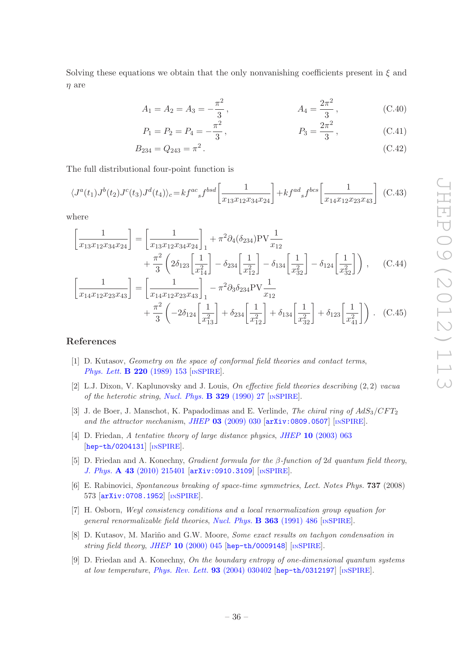Solving these equations we obtain that the only nonvanishing coefficients present in  $\xi$  and η are

$$
A_1 = A_2 = A_3 = -\frac{\pi^2}{3}, \qquad A_4 = \frac{2\pi^2}{3}, \qquad (C.40)
$$

$$
P_1 = P_2 = P_4 = -\frac{\pi^2}{3}, \qquad P_3 = \frac{2\pi^2}{3}, \qquad (C.41)
$$

$$
B_{234} = Q_{243} = \pi^2. \tag{C.42}
$$

The full distributional four-point function is

<span id="page-36-9"></span>
$$
\langle J^a(t_1)J^b(t_2)J^c(t_3)J^d(t_4)\rangle_c = kf^{ac}{}_sf^{bsd} \left[\frac{1}{x_{13}x_{12}x_{34}x_{24}}\right] + kf^{ad}{}_sf^{bcs} \left[\frac{1}{x_{14}x_{12}x_{23}x_{43}}\right] \tag{C.43}
$$

where

$$
\left[\frac{1}{x_{13}x_{12}x_{34}x_{24}}\right] = \left[\frac{1}{x_{13}x_{12}x_{34}x_{24}}\right]_1 + \pi^2 \partial_4(\delta_{234}) \text{PV} \frac{1}{x_{12}} \n+ \frac{\pi^2}{3} \left(2\delta_{123} \left[\frac{1}{x_{14}^2}\right] - \delta_{234} \left[\frac{1}{x_{12}^2}\right] - \delta_{134} \left[\frac{1}{x_{32}^2}\right] - \delta_{124} \left[\frac{1}{x_{32}^2}\right] \right), \quad (C.44)
$$
\n
$$
\left[\frac{1}{x_{14}x_{12}x_{23}x_{43}}\right] = \left[\frac{1}{x_{14}x_{12}x_{23}x_{43}}\right]_1 - \pi^2 \partial_3 \delta_{234} \text{PV} \frac{1}{x_{12}}
$$

$$
+\frac{\pi^2}{3}\left(-2\delta_{124}\left[\frac{1}{x_{13}^2}\right]+\delta_{234}\left[\frac{1}{x_{12}^2}\right]+\delta_{134}\left[\frac{1}{x_{32}^2}\right]+\delta_{123}\left[\frac{1}{x_{41}^2}\right]\right). (C.45)
$$

### References

- <span id="page-36-0"></span>[1] D. Kutasov, Geometry on the space of conformal field theories and contact terms , *[Phys. Lett.](http://dx.doi.org/10.1016/0370-2693(89)90028-2)* **B** 220 (1989) 153 [IN[SPIRE](http://inspirehep.net/search?p=find+J+Phys.Lett.,B220,153)].
- <span id="page-36-1"></span>[2] L.J. Dixon, V. Kaplunovsky and J. Louis, On effective field theories describing  $(2, 2)$  vacual of the heterotic string, [Nucl. Phys.](http://dx.doi.org/10.1016/0550-3213(90)90057-K)  $\bf{B}$  329 (1990) 27 [IN[SPIRE](http://inspirehep.net/search?p=find+J+Nucl.Phys.,B329,27)].
- <span id="page-36-2"></span>[3] J. de Boer, J. Manschot, K. Papadodimas and E. Verlinde, The chiral ring of  $AdS_3/CFT_2$ and the attractor mechanism, JHEP  $03$  [\(2009\) 030](http://dx.doi.org/10.1088/1126-6708/2009/03/030)  $\text{arXiv:0809.0507}$  $\text{arXiv:0809.0507}$  $\text{arXiv:0809.0507}$  [IN[SPIRE](http://inspirehep.net/search?p=find+EPRINT+arXiv:0809.0507)].
- <span id="page-36-3"></span>[4] D. Friedan, A tentative theory of large distance physics, JHEP 10 [\(2003\) 063](http://dx.doi.org/10.1088/1126-6708/2003/10/063) [[hep-th/0204131](http://arxiv.org/abs/hep-th/0204131)] [IN[SPIRE](http://inspirehep.net/search?p=find+EPRINT+hep-th/0204131)].
- <span id="page-36-4"></span>[5] D. Friedan and A. Konechny, *Gradient formula for the*  $\beta$ *-function of 2d quantum field theory*, J. Phys. A 43 [\(2010\) 215401](http://dx.doi.org/10.1088/1751-8113/43/21/215401) [[arXiv:0910.3109](http://arxiv.org/abs/0910.3109)] [IN[SPIRE](http://inspirehep.net/search?p=find+EPRINT+arXiv:0910.3109)].
- <span id="page-36-5"></span>[6] E. Rabinovici, Spontaneous breaking of space-time symmetries, Lect. Notes Phys. **737** (2008) 573 [[arXiv:0708.1952](http://arxiv.org/abs/0708.1952)] [IN[SPIRE](http://inspirehep.net/search?p=find+EPRINT+arXiv:0708.1952)].
- <span id="page-36-6"></span>[7] H. Osborn, Weyl consistency conditions and a local renormalization group equation for general renormalizable field theories, [Nucl. Phys.](http://dx.doi.org/10.1016/0550-3213(91)80030-P) **B 363** (1991) 486 [IN[SPIRE](http://inspirehep.net/search?p=find+J+Nucl.Phys.,B363,486)].
- <span id="page-36-7"></span>[8] D. Kutasov, M. Mariño and G.W. Moore, Some exact results on tachyon condensation in string field theory, JHEP  $10$  [\(2000\) 045](http://dx.doi.org/10.1088/1126-6708/2000/10/045) [[hep-th/0009148](http://arxiv.org/abs/hep-th/0009148)] [IN[SPIRE](http://inspirehep.net/search?p=find+EPRINT+hep-th/0009148)].
- <span id="page-36-8"></span>[9] D. Friedan and A. Konechny, On the boundary entropy of one-dimensional quantum systems at low temperature , [Phys. Rev. Lett.](http://dx.doi.org/10.1103/PhysRevLett.93.030402) 93 (2004) 030402 [[hep-th/0312197](http://arxiv.org/abs/hep-th/0312197)] [IN[SPIRE](http://inspirehep.net/search?p=find+EPRINT+hep-th/0312197)].